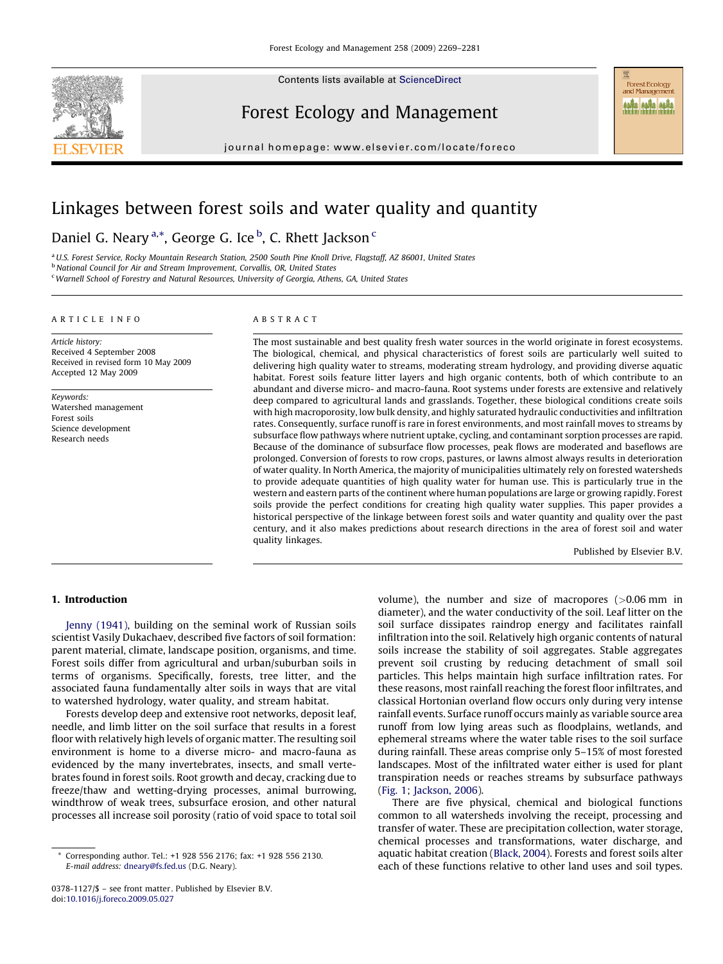

Contents lists available at [ScienceDirect](http://www.sciencedirect.com/science/journal/03781127)

## Forest Ecology and Management

Forest Ecology and Management **MA MA MA** 

journal homepage: www.elsevier.com/locate/foreco

# Linkages between forest soils and water quality and quantity

## Daniel G. Neary <sup>a,</sup>\*, George G. Ice <sup>b</sup>, C. Rhett Jackson <sup>c</sup>

a U.S. Forest Service, Rocky Mountain Research Station, 2500 South Pine Knoll Drive, Flagstaff, AZ 86001, United States **b National Council for Air and Stream Improvement, Corvallis, OR, United States** 

<sup>c</sup>Warnell School of Forestry and Natural Resources, University of Georgia, Athens, GA, United States

## ARTICLE INFO

Article history: Received 4 September 2008 Received in revised form 10 May 2009 Accepted 12 May 2009

Keywords: Watershed management Forest soils Science development Research needs

## ABSTRACT

The most sustainable and best quality fresh water sources in the world originate in forest ecosystems. The biological, chemical, and physical characteristics of forest soils are particularly well suited to delivering high quality water to streams, moderating stream hydrology, and providing diverse aquatic habitat. Forest soils feature litter layers and high organic contents, both of which contribute to an abundant and diverse micro- and macro-fauna. Root systems under forests are extensive and relatively deep compared to agricultural lands and grasslands. Together, these biological conditions create soils with high macroporosity, low bulk density, and highly saturated hydraulic conductivities and infiltration rates. Consequently, surface runoff is rare in forest environments, and most rainfall moves to streams by subsurface flow pathways where nutrient uptake, cycling, and contaminant sorption processes are rapid. Because of the dominance of subsurface flow processes, peak flows are moderated and baseflows are prolonged. Conversion of forests to row crops, pastures, or lawns almost always results in deterioration of water quality. In North America, the majority of municipalities ultimately rely on forested watersheds to provide adequate quantities of high quality water for human use. This is particularly true in the western and eastern parts of the continent where human populations are large or growing rapidly. Forest soils provide the perfect conditions for creating high quality water supplies. This paper provides a historical perspective of the linkage between forest soils and water quantity and quality over the past century, and it also makes predictions about research directions in the area of forest soil and water quality linkages.

Published by Elsevier B.V.

## 1. Introduction

[Jenny \(1941\)](#page-10-0), building on the seminal work of Russian soils scientist Vasily Dukachaev, described five factors of soil formation: parent material, climate, landscape position, organisms, and time. Forest soils differ from agricultural and urban/suburban soils in terms of organisms. Specifically, forests, tree litter, and the associated fauna fundamentally alter soils in ways that are vital to watershed hydrology, water quality, and stream habitat.

Forests develop deep and extensive root networks, deposit leaf, needle, and limb litter on the soil surface that results in a forest floor with relatively high levels of organic matter. The resulting soil environment is home to a diverse micro- and macro-fauna as evidenced by the many invertebrates, insects, and small vertebrates found in forest soils. Root growth and decay, cracking due to freeze/thaw and wetting-drying processes, animal burrowing, windthrow of weak trees, subsurface erosion, and other natural processes all increase soil porosity (ratio of void space to total soil volume), the number and size of macropores  $(>0.06$  mm in diameter), and the water conductivity of the soil. Leaf litter on the soil surface dissipates raindrop energy and facilitates rainfall infiltration into the soil. Relatively high organic contents of natural soils increase the stability of soil aggregates. Stable aggregates prevent soil crusting by reducing detachment of small soil particles. This helps maintain high surface infiltration rates. For these reasons, most rainfall reaching the forest floor infiltrates, and classical Hortonian overland flow occurs only during very intense rainfall events. Surface runoff occurs mainly as variable source area runoff from low lying areas such as floodplains, wetlands, and ephemeral streams where the water table rises to the soil surface during rainfall. These areas comprise only 5–15% of most forested landscapes. Most of the infiltrated water either is used for plant transpiration needs or reaches streams by subsurface pathways ([Fig. 1](#page-1-0); [Jackson, 2006\)](#page-10-0).

There are five physical, chemical and biological functions common to all watersheds involving the receipt, processing and transfer of water. These are precipitation collection, water storage, chemical processes and transformations, water discharge, and aquatic habitat creation ([Black, 2004](#page-9-0)). Forests and forest soils alter each of these functions relative to other land uses and soil types.

Corresponding author. Tel.: +1 928 556 2176; fax: +1 928 556 2130. E-mail address: [dneary@fs.fed.us](mailto:dneary@fs.fed.us) (D.G. Neary).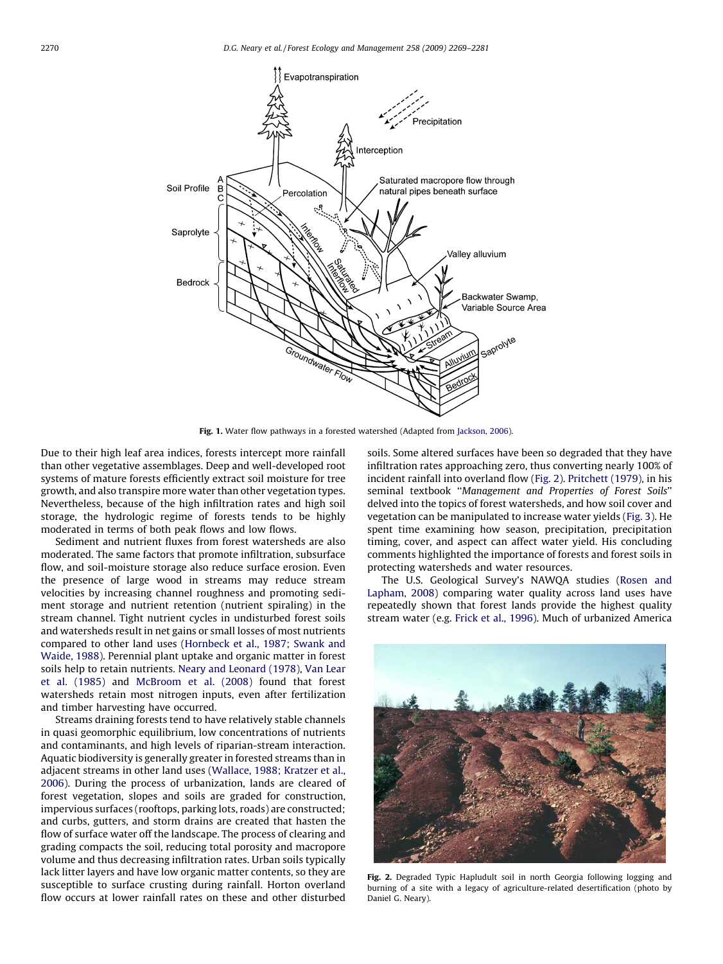<span id="page-1-0"></span>

Fig. 1. Water flow pathways in a forested watershed (Adapted from [Jackson, 2006](#page-10-0)).

Due to their high leaf area indices, forests intercept more rainfall than other vegetative assemblages. Deep and well-developed root systems of mature forests efficiently extract soil moisture for tree growth, and also transpire more water than other vegetation types. Nevertheless, because of the high infiltration rates and high soil storage, the hydrologic regime of forests tends to be highly moderated in terms of both peak flows and low flows.

Sediment and nutrient fluxes from forest watersheds are also moderated. The same factors that promote infiltration, subsurface flow, and soil-moisture storage also reduce surface erosion. Even the presence of large wood in streams may reduce stream velocities by increasing channel roughness and promoting sediment storage and nutrient retention (nutrient spiraling) in the stream channel. Tight nutrient cycles in undisturbed forest soils and watersheds result in net gains or small losses of most nutrients compared to other land uses [\(Hornbeck et al., 1987; Swank and](#page-10-0) [Waide, 1988\)](#page-10-0). Perennial plant uptake and organic matter in forest soils help to retain nutrients. [Neary and Leonard \(1978\)](#page-11-0), [Van Lear](#page-12-0) [et al. \(1985\)](#page-12-0) and [McBroom et al. \(2008\)](#page-11-0) found that forest watersheds retain most nitrogen inputs, even after fertilization and timber harvesting have occurred.

Streams draining forests tend to have relatively stable channels in quasi geomorphic equilibrium, low concentrations of nutrients and contaminants, and high levels of riparian-stream interaction. Aquatic biodiversity is generally greater in forested streams than in adjacent streams in other land uses ([Wallace, 1988; Kratzer et al.,](#page-12-0) [2006\)](#page-12-0). During the process of urbanization, lands are cleared of forest vegetation, slopes and soils are graded for construction, impervious surfaces (rooftops, parking lots, roads) are constructed; and curbs, gutters, and storm drains are created that hasten the flow of surface water off the landscape. The process of clearing and grading compacts the soil, reducing total porosity and macropore volume and thus decreasing infiltration rates. Urban soils typically lack litter layers and have low organic matter contents, so they are susceptible to surface crusting during rainfall. Horton overland flow occurs at lower rainfall rates on these and other disturbed soils. Some altered surfaces have been so degraded that they have infiltration rates approaching zero, thus converting nearly 100% of incident rainfall into overland flow (Fig. 2). [Pritchett \(1979\),](#page-11-0) in his seminal textbook ''Management and Properties of Forest Soils'' delved into the topics of forest watersheds, and how soil cover and vegetation can be manipulated to increase water yields [\(Fig. 3](#page-2-0)). He spent time examining how season, precipitation, precipitation timing, cover, and aspect can affect water yield. His concluding comments highlighted the importance of forests and forest soils in protecting watersheds and water resources.

The U.S. Geological Survey's NAWQA studies ([Rosen and](#page-11-0) [Lapham, 2008](#page-11-0)) comparing water quality across land uses have repeatedly shown that forest lands provide the highest quality stream water (e.g. [Frick et al., 1996](#page-10-0)). Much of urbanized America



Fig. 2. Degraded Typic Hapludult soil in north Georgia following logging and burning of a site with a legacy of agriculture-related desertification (photo by Daniel G. Neary).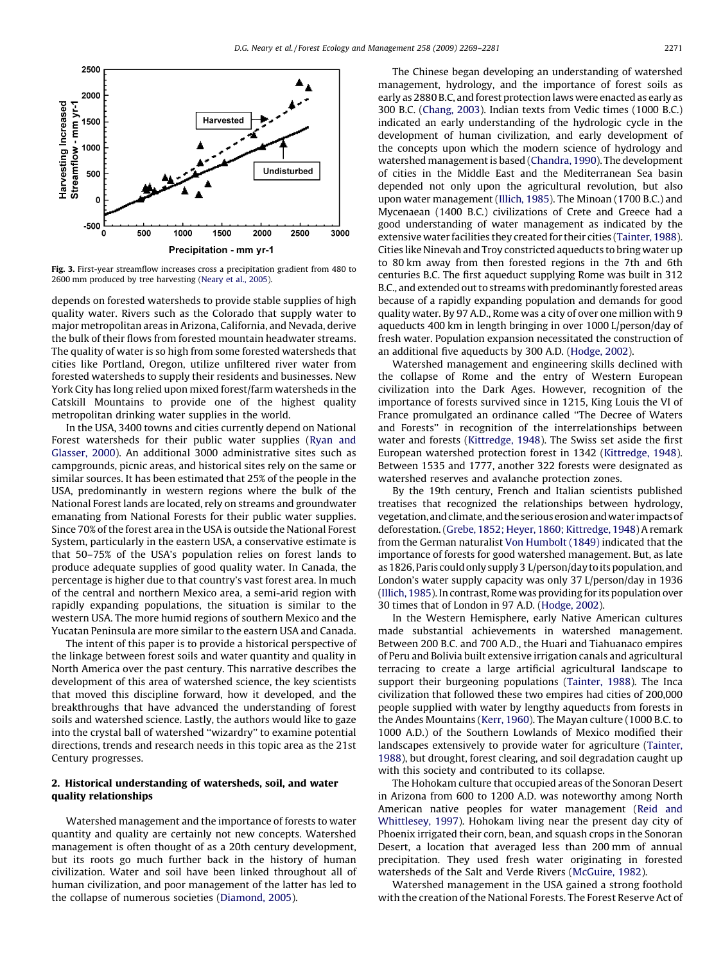<span id="page-2-0"></span>

Fig. 3. First-year streamflow increases cross a precipitation gradient from 480 to 2600 mm produced by tree harvesting ([Neary et al., 2005\)](#page-11-0).

depends on forested watersheds to provide stable supplies of high quality water. Rivers such as the Colorado that supply water to major metropolitan areas in Arizona, California, and Nevada, derive the bulk of their flows from forested mountain headwater streams. The quality of water is so high from some forested watersheds that cities like Portland, Oregon, utilize unfiltered river water from forested watersheds to supply their residents and businesses. New York City has long relied upon mixed forest/farm watersheds in the Catskill Mountains to provide one of the highest quality metropolitan drinking water supplies in the world.

In the USA, 3400 towns and cities currently depend on National Forest watersheds for their public water supplies [\(Ryan and](#page-11-0) [Glasser, 2000](#page-11-0)). An additional 3000 administrative sites such as campgrounds, picnic areas, and historical sites rely on the same or similar sources. It has been estimated that 25% of the people in the USA, predominantly in western regions where the bulk of the National Forest lands are located, rely on streams and groundwater emanating from National Forests for their public water supplies. Since 70% of the forest area in the USA is outside the National Forest System, particularly in the eastern USA, a conservative estimate is that 50–75% of the USA's population relies on forest lands to produce adequate supplies of good quality water. In Canada, the percentage is higher due to that country's vast forest area. In much of the central and northern Mexico area, a semi-arid region with rapidly expanding populations, the situation is similar to the western USA. The more humid regions of southern Mexico and the Yucatan Peninsula are more similar to the eastern USA and Canada.

The intent of this paper is to provide a historical perspective of the linkage between forest soils and water quantity and quality in North America over the past century. This narrative describes the development of this area of watershed science, the key scientists that moved this discipline forward, how it developed, and the breakthroughs that have advanced the understanding of forest soils and watershed science. Lastly, the authors would like to gaze into the crystal ball of watershed ''wizardry'' to examine potential directions, trends and research needs in this topic area as the 21st Century progresses.

## 2. Historical understanding of watersheds, soil, and water quality relationships

Watershed management and the importance of forests to water quantity and quality are certainly not new concepts. Watershed management is often thought of as a 20th century development, but its roots go much further back in the history of human civilization. Water and soil have been linked throughout all of human civilization, and poor management of the latter has led to the collapse of numerous societies ([Diamond, 2005](#page-10-0)).

The Chinese began developing an understanding of watershed management, hydrology, and the importance of forest soils as early as 2880 B.C, and forest protection laws were enacted as early as 300 B.C. [\(Chang, 2003\)](#page-10-0). Indian texts from Vedic times (1000 B.C.) indicated an early understanding of the hydrologic cycle in the development of human civilization, and early development of the concepts upon which the modern science of hydrology and watershed management is based ([Chandra, 1990](#page-10-0)). The development of cities in the Middle East and the Mediterranean Sea basin depended not only upon the agricultural revolution, but also upon water management [\(Illich, 1985\)](#page-10-0). The Minoan (1700 B.C.) and Mycenaean (1400 B.C.) civilizations of Crete and Greece had a good understanding of water management as indicated by the extensive water facilities they created for their cities [\(Tainter, 1988\)](#page-12-0). Cities like Ninevah and Troy constricted aqueducts to bring water up to 80 km away from then forested regions in the 7th and 6th centuries B.C. The first aqueduct supplying Rome was built in 312 B.C., and extended out to streams with predominantly forested areas because of a rapidly expanding population and demands for good quality water. By 97 A.D., Rome was a city of over one million with 9 aqueducts 400 km in length bringing in over 1000 L/person/day of fresh water. Population expansion necessitated the construction of an additional five aqueducts by 300 A.D. [\(Hodge, 2002\)](#page-10-0).

Watershed management and engineering skills declined with the collapse of Rome and the entry of Western European civilization into the Dark Ages. However, recognition of the importance of forests survived since in 1215, King Louis the VI of France promulgated an ordinance called ''The Decree of Waters and Forests'' in recognition of the interrelationships between water and forests ([Kittredge, 1948](#page-11-0)). The Swiss set aside the first European watershed protection forest in 1342 ([Kittredge, 1948\)](#page-11-0). Between 1535 and 1777, another 322 forests were designated as watershed reserves and avalanche protection zones.

By the 19th century, French and Italian scientists published treatises that recognized the relationships between hydrology, vegetation, and climate, and the serious erosion andwater impacts of deforestation. [\(Grebe, 1852; Heyer, 1860; Kittredge, 1948\)](#page-10-0) A remark from the German naturalist [Von Humbolt \(1849\)](#page-12-0) indicated that the importance of forests for good watershed management. But, as late as 1826, Paris could only supply 3 L/person/day to its population, and London's water supply capacity was only 37 L/person/day in 1936 ([Illich, 1985\)](#page-10-0). In contrast, Rome was providing for its population over 30 times that of London in 97 A.D. [\(Hodge, 2002\)](#page-10-0).

In the Western Hemisphere, early Native American cultures made substantial achievements in watershed management. Between 200 B.C. and 700 A.D., the Huari and Tiahuanaco empires of Peru and Bolivia built extensive irrigation canals and agricultural terracing to create a large artificial agricultural landscape to support their burgeoning populations [\(Tainter, 1988\)](#page-12-0). The Inca civilization that followed these two empires had cities of 200,000 people supplied with water by lengthy aqueducts from forests in the Andes Mountains ([Kerr, 1960\)](#page-10-0). The Mayan culture (1000 B.C. to 1000 A.D.) of the Southern Lowlands of Mexico modified their landscapes extensively to provide water for agriculture [\(Tainter,](#page-12-0) [1988\)](#page-12-0), but drought, forest clearing, and soil degradation caught up with this society and contributed to its collapse.

The Hohokam culture that occupied areas of the Sonoran Desert in Arizona from 600 to 1200 A.D. was noteworthy among North American native peoples for water management [\(Reid and](#page-11-0) [Whittlesey, 1997\)](#page-11-0). Hohokam living near the present day city of Phoenix irrigated their corn, bean, and squash crops in the Sonoran Desert, a location that averaged less than 200 mm of annual precipitation. They used fresh water originating in forested watersheds of the Salt and Verde Rivers ([McGuire, 1982\)](#page-11-0).

Watershed management in the USA gained a strong foothold with the creation of the National Forests. The Forest Reserve Act of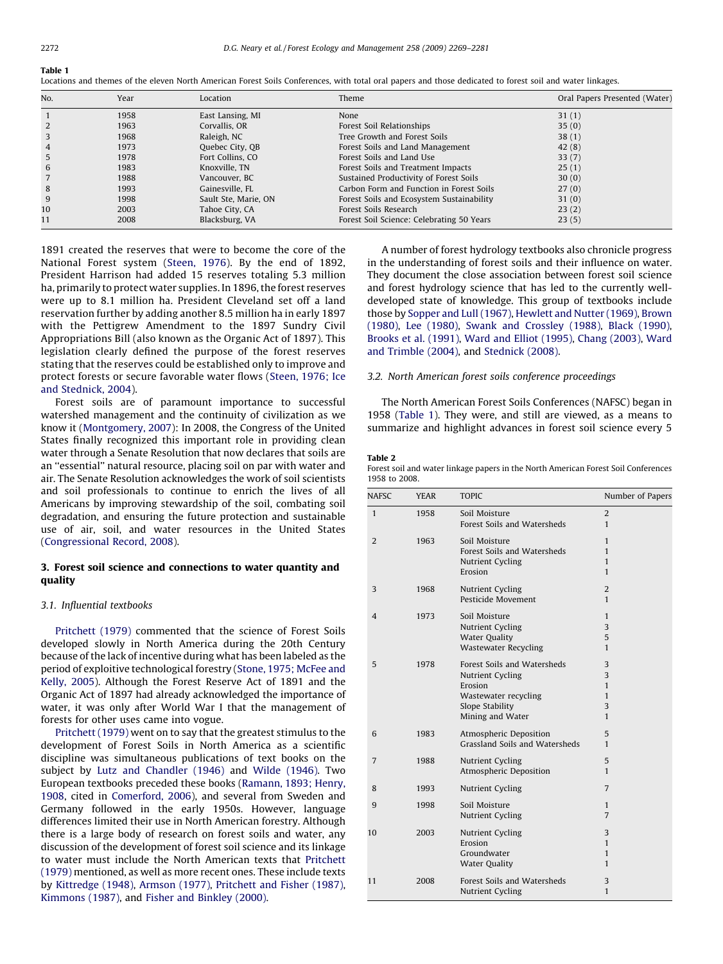<span id="page-3-0"></span>Locations and themes of the eleven North American Forest Soils Conferences, with total oral papers and those dedicated to forest soil and water linkages.

| No. | Year | Location             | <b>Theme</b>                              | Oral Papers Presented (Water) |
|-----|------|----------------------|-------------------------------------------|-------------------------------|
|     | 1958 | East Lansing, MI     | None                                      | 31(1)                         |
|     | 1963 | Corvallis, OR        | Forest Soil Relationships                 | 35(0)                         |
|     | 1968 | Raleigh, NC          | Tree Growth and Forest Soils              | 38(1)                         |
| 4   | 1973 | Quebec City, QB      | Forest Soils and Land Management          | 42(8)                         |
|     | 1978 | Fort Collins, CO     | Forest Soils and Land Use                 | 33(7)                         |
| 6   | 1983 | Knoxville, TN        | Forest Soils and Treatment Impacts        | 25(1)                         |
|     | 1988 | Vancouver, BC        | Sustained Productivity of Forest Soils    | 30(0)                         |
| 8   | 1993 | Gainesville, FL      | Carbon Form and Function in Forest Soils  | 27(0)                         |
| 9   | 1998 | Sault Ste, Marie, ON | Forest Soils and Ecosystem Sustainability | 31(0)                         |
| 10  | 2003 | Tahoe City, CA       | Forest Soils Research                     | 23(2)                         |
| 11  | 2008 | Blacksburg, VA       | Forest Soil Science: Celebrating 50 Years | 23(5)                         |

1891 created the reserves that were to become the core of the National Forest system ([Steen, 1976\)](#page-11-0). By the end of 1892, President Harrison had added 15 reserves totaling 5.3 million ha, primarily to protect water supplies. In 1896, the forest reserves were up to 8.1 million ha. President Cleveland set off a land reservation further by adding another 8.5 million ha in early 1897 with the Pettigrew Amendment to the 1897 Sundry Civil Appropriations Bill (also known as the Organic Act of 1897). This legislation clearly defined the purpose of the forest reserves stating that the reserves could be established only to improve and protect forests or secure favorable water flows [\(Steen, 1976; Ice](#page-11-0) [and Stednick, 2004](#page-11-0)).

Forest soils are of paramount importance to successful watershed management and the continuity of civilization as we know it [\(Montgomery, 2007](#page-11-0)): In 2008, the Congress of the United States finally recognized this important role in providing clean water through a Senate Resolution that now declares that soils are an ''essential'' natural resource, placing soil on par with water and air. The Senate Resolution acknowledges the work of soil scientists and soil professionals to continue to enrich the lives of all Americans by improving stewardship of the soil, combating soil degradation, and ensuring the future protection and sustainable use of air, soil, and water resources in the United States ([Congressional Record, 2008\)](#page-10-0).

## 3. Forest soil science and connections to water quantity and quality

#### 3.1. Influential textbooks

[Pritchett \(1979\)](#page-11-0) commented that the science of Forest Soils developed slowly in North America during the 20th Century because of the lack of incentive during what has been labeled as the period of exploitive technological forestry ([Stone, 1975; McFee and](#page-11-0) [Kelly, 2005\)](#page-11-0). Although the Forest Reserve Act of 1891 and the Organic Act of 1897 had already acknowledged the importance of water, it was only after World War I that the management of forests for other uses came into vogue.

[Pritchett \(1979\)](#page-11-0) went on to say that the greatest stimulus to the development of Forest Soils in North America as a scientific discipline was simultaneous publications of text books on the subject by [Lutz and Chandler \(1946\)](#page-11-0) and [Wilde \(1946\).](#page-12-0) Two European textbooks preceded these books [\(Ramann, 1893; Henry,](#page-11-0) [1908,](#page-11-0) cited in [Comerford, 2006\)](#page-10-0), and several from Sweden and Germany followed in the early 1950s. However, language differences limited their use in North American forestry. Although there is a large body of research on forest soils and water, any discussion of the development of forest soil science and its linkage to water must include the North American texts that [Pritchett](#page-11-0) [\(1979\)](#page-11-0) mentioned, as well as more recent ones. These include texts by [Kittredge \(1948\),](#page-11-0) [Armson \(1977\)](#page-9-0), [Pritchett and Fisher \(1987\),](#page-11-0) [Kimmons \(1987\)](#page-11-0), and [Fisher and Binkley \(2000\)](#page-10-0).

A number of forest hydrology textbooks also chronicle progress in the understanding of forest soils and their influence on water. They document the close association between forest soil science and forest hydrology science that has led to the currently welldeveloped state of knowledge. This group of textbooks include those by [Sopper and Lull \(1967\)](#page-11-0), [Hewlett and Nutter \(1969\)](#page-10-0), [Brown](#page-10-0) [\(1980\)](#page-10-0), [Lee \(1980\)](#page-11-0), [Swank and Crossley \(1988\),](#page-11-0) [Black \(1990\),](#page-9-0) [Brooks et al. \(1991\)](#page-10-0), [Ward and Elliot \(1995\),](#page-12-0) [Chang \(2003\),](#page-10-0) [Ward](#page-12-0) [and Trimble \(2004\),](#page-12-0) and [Stednick \(2008\).](#page-11-0)

## 3.2. North American forest soils conference proceedings

The North American Forest Soils Conferences (NAFSC) began in 1958 (Table 1). They were, and still are viewed, as a means to summarize and highlight advances in forest soil science every 5

#### Table 2

Forest soil and water linkage papers in the North American Forest Soil Conferences 1958 to 2008.

| <b>NAFSC</b>   | <b>YEAR</b> | <b>TOPIC</b>                                                                                                              | Number of Papers                                 |
|----------------|-------------|---------------------------------------------------------------------------------------------------------------------------|--------------------------------------------------|
| $\mathbf{1}$   | 1958        | Soil Moisture<br>Forest Soils and Watersheds                                                                              | $\overline{2}$<br>$\mathbf{1}$                   |
| 2              | 1963        | Soil Moisture<br>Forest Soils and Watersheds<br>Nutrient Cycling<br>Erosion                                               | 1<br>$\mathbf{1}$<br>1<br>$\mathbf{1}$           |
| 3              | 1968        | Nutrient Cycling<br>Pesticide Movement                                                                                    | $\overline{2}$<br>1                              |
| $\overline{4}$ | 1973        | Soil Moisture<br>Nutrient Cycling<br><b>Water Quality</b><br><b>Wastewater Recycling</b>                                  | $\mathbf{1}$<br>3<br>5<br>$\mathbf{1}$           |
| 5              | 1978        | Forest Soils and Watersheds<br>Nutrient Cycling<br>Erosion<br>Wastewater recycling<br>Slope Stability<br>Mining and Water | 3<br>3<br>$\mathbf{1}$<br>$\mathbf{1}$<br>3<br>1 |
| 6              | 1983        | Atmospheric Deposition<br>Grassland Soils and Watersheds                                                                  | 5<br>1                                           |
| 7              | 1988        | Nutrient Cycling<br>Atmospheric Deposition                                                                                | 5<br>$\mathbf{1}$                                |
| 8              | 1993        | Nutrient Cycling                                                                                                          | 7                                                |
| 9              | 1998        | Soil Moisture<br>Nutrient Cycling                                                                                         | 1<br>7                                           |
| 10             | 2003        | Nutrient Cycling<br>Erosion<br>Groundwater<br><b>Water Quality</b>                                                        | 3<br>$\mathbf{1}$<br>$\mathbf{1}$<br>1           |
| 11             | 2008        | Forest Soils and Watersheds<br>Nutrient Cycling                                                                           | 3<br>1                                           |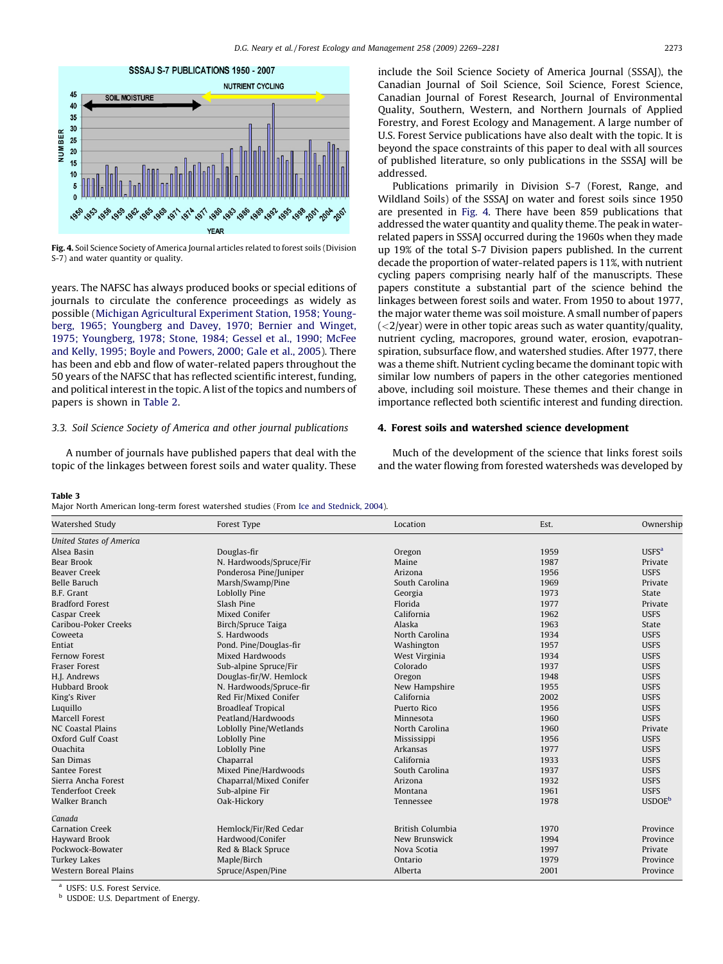<span id="page-4-0"></span>

Fig. 4. Soil Science Society of America Journal articles related to forest soils (Division S-7) and water quantity or quality.

years. The NAFSC has always produced books or special editions of journals to circulate the conference proceedings as widely as possible ([Michigan Agricultural Experiment Station, 1958; Young](#page-11-0)[berg, 1965; Youngberg and Davey, 1970; Bernier and Winget,](#page-11-0) [1975; Youngberg, 1978; Stone, 1984; Gessel et al., 1990; McFee](#page-11-0) [and Kelly, 1995; Boyle and Powers, 2000; Gale et al., 2005\)](#page-11-0). There has been and ebb and flow of water-related papers throughout the 50 years of the NAFSC that has reflected scientific interest, funding, and political interest in the topic. A list of the topics and numbers of papers is shown in [Table 2](#page-3-0).

## 3.3. Soil Science Society of America and other journal publications

A number of journals have published papers that deal with the topic of the linkages between forest soils and water quality. These include the Soil Science Society of America Journal (SSSAJ), the Canadian Journal of Soil Science, Soil Science, Forest Science, Canadian Journal of Forest Research, Journal of Environmental Quality, Southern, Western, and Northern Journals of Applied Forestry, and Forest Ecology and Management. A large number of U.S. Forest Service publications have also dealt with the topic. It is beyond the space constraints of this paper to deal with all sources of published literature, so only publications in the SSSAJ will be addressed.

Publications primarily in Division S-7 (Forest, Range, and Wildland Soils) of the SSSAJ on water and forest soils since 1950 are presented in Fig. 4. There have been 859 publications that addressed the water quantity and quality theme. The peak in waterrelated papers in SSSAJ occurred during the 1960s when they made up 19% of the total S-7 Division papers published. In the current decade the proportion of water-related papers is 11%, with nutrient cycling papers comprising nearly half of the manuscripts. These papers constitute a substantial part of the science behind the linkages between forest soils and water. From 1950 to about 1977, the major water theme was soil moisture. A small number of papers  $\left\langle \langle 2/\gamma\rangle\right\langle 2/\gamma\rangle$  were in other topic areas such as water quantity/quality, nutrient cycling, macropores, ground water, erosion, evapotranspiration, subsurface flow, and watershed studies. After 1977, there was a theme shift. Nutrient cycling became the dominant topic with similar low numbers of papers in the other categories mentioned above, including soil moisture. These themes and their change in importance reflected both scientific interest and funding direction.

## 4. Forest soils and watershed science development

Much of the development of the science that links forest soils and the water flowing from forested watersheds was developed by

Table 3

Major North American long-term forest watershed studies (From [Ice and Stednick, 2004\)](#page-10-0).

| Watershed Study                 | Forest Type               | Location         | Est. | Ownership                 |
|---------------------------------|---------------------------|------------------|------|---------------------------|
| <b>United States of America</b> |                           |                  |      |                           |
| Alsea Basin                     | Douglas-fir               | Oregon           | 1959 | <b>USFS<sup>a</sup></b>   |
| <b>Bear Brook</b>               | N. Hardwoods/Spruce/Fir   | Maine            | 1987 | Private                   |
| <b>Beaver Creek</b>             | Ponderosa Pine/Juniper    | Arizona          | 1956 | <b>USFS</b>               |
| <b>Belle Baruch</b>             | Marsh/Swamp/Pine          | South Carolina   | 1969 | Private                   |
| <b>B.F. Grant</b>               | Loblolly Pine             | Georgia          | 1973 | State                     |
| <b>Bradford Forest</b>          | Slash Pine                | Florida          | 1977 | Private                   |
| Caspar Creek                    | Mixed Conifer             | California       | 1962 | <b>USES</b>               |
| Caribou-Poker Creeks            | Birch/Spruce Taiga        | Alaska           | 1963 | State                     |
| Coweeta                         | S. Hardwoods              | North Carolina   | 1934 | <b>USFS</b>               |
| Entiat                          | Pond. Pine/Douglas-fir    | Washington       | 1957 | <b>USFS</b>               |
| Fernow Forest                   | Mixed Hardwoods           | West Virginia    | 1934 | <b>USFS</b>               |
| <b>Fraser Forest</b>            | Sub-alpine Spruce/Fir     | Colorado         | 1937 | <b>USFS</b>               |
| H.J. Andrews                    | Douglas-fir/W. Hemlock    | Oregon           | 1948 | <b>USFS</b>               |
| <b>Hubbard Brook</b>            | N. Hardwoods/Spruce-fir   | New Hampshire    | 1955 | <b>USFS</b>               |
| King's River                    | Red Fir/Mixed Conifer     | California       | 2002 | <b>USFS</b>               |
| Luquillo                        | <b>Broadleaf Tropical</b> | Puerto Rico      | 1956 | <b>USFS</b>               |
| Marcell Forest                  | Peatland/Hardwoods        | Minnesota        | 1960 | <b>USFS</b>               |
| <b>NC Coastal Plains</b>        | Loblolly Pine/Wetlands    | North Carolina   | 1960 | Private                   |
| Oxford Gulf Coast               | Loblolly Pine             | Mississippi      | 1956 | <b>USFS</b>               |
| Ouachita                        | Loblolly Pine             | Arkansas         | 1977 | <b>USFS</b>               |
| San Dimas                       | Chaparral                 | California       | 1933 | <b>USFS</b>               |
| Santee Forest                   | Mixed Pine/Hardwoods      | South Carolina   | 1937 | <b>USFS</b>               |
| Sierra Ancha Forest             | Chaparral/Mixed Conifer   | Arizona          | 1932 | <b>USFS</b>               |
| <b>Tenderfoot Creek</b>         | Sub-alpine Fir            | Montana          | 1961 | <b>USES</b>               |
| Walker Branch                   | Oak-Hickory               | Tennessee        | 1978 | <b>USDOE</b> <sup>b</sup> |
| Canada                          |                           |                  |      |                           |
| <b>Carnation Creek</b>          | Hemlock/Fir/Red Cedar     | British Columbia | 1970 | Province                  |
| <b>Havward Brook</b>            | Hardwood/Conifer          | New Brunswick    | 1994 | Province                  |
| Pockwock-Bowater                | Red & Black Spruce        | Nova Scotia      | 1997 | Private                   |
| Turkey Lakes                    | Maple/Birch               | Ontario          | 1979 | Province                  |
| <b>Western Boreal Plains</b>    | Spruce/Aspen/Pine         | Alberta          | 2001 | Province                  |

<sup>a</sup> USFS: U.S. Forest Service.

<sup>b</sup> USDOE: U.S. Department of Energy.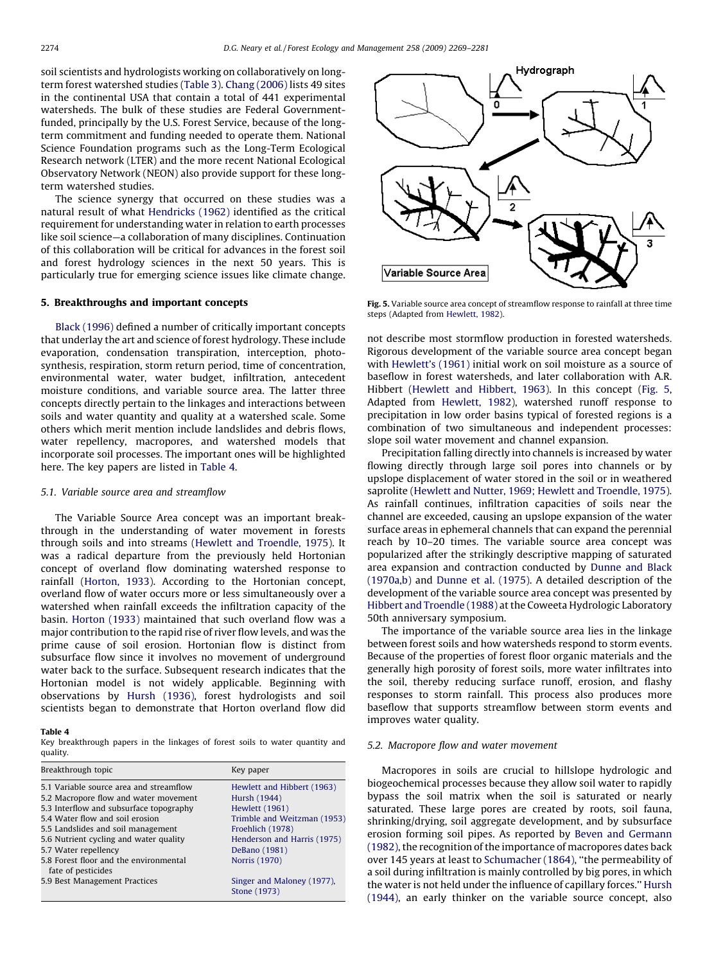soil scientists and hydrologists working on collaboratively on longterm forest watershed studies ([Table 3](#page-4-0)). [Chang \(2006\)](#page-10-0) lists 49 sites in the continental USA that contain a total of 441 experimental watersheds. The bulk of these studies are Federal Governmentfunded, principally by the U.S. Forest Service, because of the longterm commitment and funding needed to operate them. National Science Foundation programs such as the Long-Term Ecological Research network (LTER) and the more recent National Ecological Observatory Network (NEON) also provide support for these longterm watershed studies.

The science synergy that occurred on these studies was a natural result of what [Hendricks \(1962\)](#page-10-0) identified as the critical requirement for understanding water in relation to earth processes like soil science—a collaboration of many disciplines. Continuation of this collaboration will be critical for advances in the forest soil and forest hydrology sciences in the next 50 years. This is particularly true for emerging science issues like climate change.

## 5. Breakthroughs and important concepts

[Black \(1996\)](#page-9-0) defined a number of critically important concepts that underlay the art and science of forest hydrology. These include evaporation, condensation transpiration, interception, photosynthesis, respiration, storm return period, time of concentration, environmental water, water budget, infiltration, antecedent moisture conditions, and variable source area. The latter three concepts directly pertain to the linkages and interactions between soils and water quantity and quality at a watershed scale. Some others which merit mention include landslides and debris flows, water repellency, macropores, and watershed models that incorporate soil processes. The important ones will be highlighted here. The key papers are listed in Table 4.

### 5.1. Variable source area and streamflow

The Variable Source Area concept was an important breakthrough in the understanding of water movement in forests through soils and into streams ([Hewlett and Troendle, 1975\)](#page-10-0). It was a radical departure from the previously held Hortonian concept of overland flow dominating watershed response to rainfall ([Horton, 1933](#page-10-0)). According to the Hortonian concept, overland flow of water occurs more or less simultaneously over a watershed when rainfall exceeds the infiltration capacity of the basin. [Horton \(1933\)](#page-10-0) maintained that such overland flow was a major contribution to the rapid rise of river flow levels, and was the prime cause of soil erosion. Hortonian flow is distinct from subsurface flow since it involves no movement of underground water back to the surface. Subsequent research indicates that the Hortonian model is not widely applicable. Beginning with observations by [Hursh \(1936\)](#page-10-0), forest hydrologists and soil scientists began to demonstrate that Horton overland flow did

#### Table 4

|          | Key breakthrough papers in the linkages of forest soils to water quantity and |  |  |  |  |  |  |
|----------|-------------------------------------------------------------------------------|--|--|--|--|--|--|
| quality. |                                                                               |  |  |  |  |  |  |

| Breakthrough topic                                           | Key paper                   |
|--------------------------------------------------------------|-----------------------------|
| 5.1 Variable source area and streamflow                      | Hewlett and Hibbert (1963)  |
| 5.2 Macropore flow and water movement                        | Hursh (1944)                |
| 5.3 Interflow and subsurface topography                      | <b>Hewlett (1961)</b>       |
| 5.4 Water flow and soil erosion                              | Trimble and Weitzman (1953) |
| 5.5 Landslides and soil management                           | Froehlich (1978)            |
| 5.6 Nutrient cycling and water quality                       | Henderson and Harris (1975) |
| 5.7 Water repellency                                         | DeBano (1981)               |
| 5.8 Forest floor and the environmental<br>fate of pesticides | Norris (1970)               |
| 5.9 Best Management Practices                                | Singer and Maloney (1977).  |
|                                                              | Stone (1973)                |



Fig. 5. Variable source area concept of streamflow response to rainfall at three time steps (Adapted from [Hewlett, 1982\)](#page-10-0).

not describe most stormflow production in forested watersheds. Rigorous development of the variable source area concept began with [Hewlett's \(1961\)](#page-10-0) initial work on soil moisture as a source of baseflow in forest watersheds, and later collaboration with A.R. Hibbert ([Hewlett and Hibbert, 1963\)](#page-10-0). In this concept (Fig. 5, Adapted from [Hewlett, 1982](#page-10-0)), watershed runoff response to precipitation in low order basins typical of forested regions is a combination of two simultaneous and independent processes: slope soil water movement and channel expansion.

Precipitation falling directly into channels is increased by water flowing directly through large soil pores into channels or by upslope displacement of water stored in the soil or in weathered saprolite [\(Hewlett and Nutter, 1969; Hewlett and Troendle, 1975\)](#page-10-0). As rainfall continues, infiltration capacities of soils near the channel are exceeded, causing an upslope expansion of the water surface areas in ephemeral channels that can expand the perennial reach by 10–20 times. The variable source area concept was popularized after the strikingly descriptive mapping of saturated area expansion and contraction conducted by [Dunne and Black](#page-10-0) [\(1970a,b\)](#page-10-0) and [Dunne et al. \(1975\)](#page-10-0). A detailed description of the development of the variable source area concept was presented by [Hibbert and Troendle \(1988\)](#page-10-0) at the Coweeta Hydrologic Laboratory 50th anniversary symposium.

The importance of the variable source area lies in the linkage between forest soils and how watersheds respond to storm events. Because of the properties of forest floor organic materials and the generally high porosity of forest soils, more water infiltrates into the soil, thereby reducing surface runoff, erosion, and flashy responses to storm rainfall. This process also produces more baseflow that supports streamflow between storm events and improves water quality.

## 5.2. Macropore flow and water movement

Macropores in soils are crucial to hillslope hydrologic and biogeochemical processes because they allow soil water to rapidly bypass the soil matrix when the soil is saturated or nearly saturated. These large pores are created by roots, soil fauna, shrinking/drying, soil aggregate development, and by subsurface erosion forming soil pipes. As reported by [Beven and Germann](#page-9-0) [\(1982\)](#page-9-0), the recognition of the importance of macropores dates back over 145 years at least to [Schumacher \(1864\)](#page-11-0), ''the permeability of a soil during infiltration is mainly controlled by big pores, in which the water is not held under the influence of capillary forces.'' [Hursh](#page-10-0) [\(1944\)](#page-10-0), an early thinker on the variable source concept, also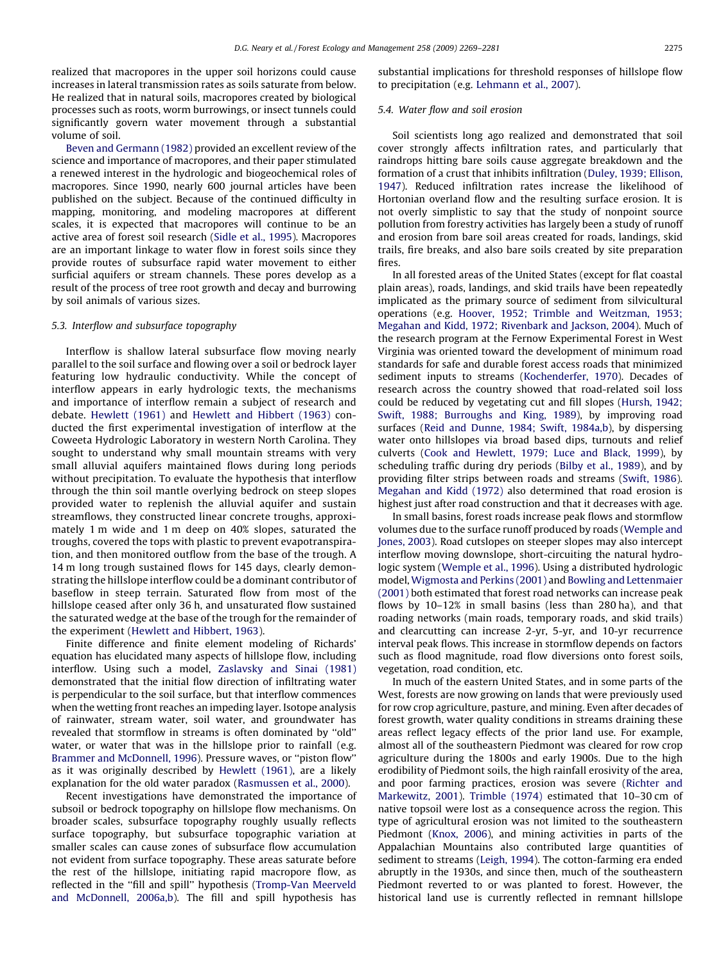realized that macropores in the upper soil horizons could cause increases in lateral transmission rates as soils saturate from below. He realized that in natural soils, macropores created by biological processes such as roots, worm burrowings, or insect tunnels could significantly govern water movement through a substantial volume of soil.

[Beven and Germann \(1982\)](#page-9-0) provided an excellent review of the science and importance of macropores, and their paper stimulated a renewed interest in the hydrologic and biogeochemical roles of macropores. Since 1990, nearly 600 journal articles have been published on the subject. Because of the continued difficulty in mapping, monitoring, and modeling macropores at different scales, it is expected that macropores will continue to be an active area of forest soil research [\(Sidle et al., 1995\)](#page-11-0). Macropores are an important linkage to water flow in forest soils since they provide routes of subsurface rapid water movement to either surficial aquifers or stream channels. These pores develop as a result of the process of tree root growth and decay and burrowing by soil animals of various sizes.

## 5.3. Interflow and subsurface topography

Interflow is shallow lateral subsurface flow moving nearly parallel to the soil surface and flowing over a soil or bedrock layer featuring low hydraulic conductivity. While the concept of interflow appears in early hydrologic texts, the mechanisms and importance of interflow remain a subject of research and debate. [Hewlett \(1961\)](#page-10-0) and [Hewlett and Hibbert \(1963\)](#page-10-0) conducted the first experimental investigation of interflow at the Coweeta Hydrologic Laboratory in western North Carolina. They sought to understand why small mountain streams with very small alluvial aquifers maintained flows during long periods without precipitation. To evaluate the hypothesis that interflow through the thin soil mantle overlying bedrock on steep slopes provided water to replenish the alluvial aquifer and sustain streamflows, they constructed linear concrete troughs, approximately 1 m wide and 1 m deep on 40% slopes, saturated the troughs, covered the tops with plastic to prevent evapotranspiration, and then monitored outflow from the base of the trough. A 14 m long trough sustained flows for 145 days, clearly demonstrating the hillslope interflow could be a dominant contributor of baseflow in steep terrain. Saturated flow from most of the hillslope ceased after only 36 h, and unsaturated flow sustained the saturated wedge at the base of the trough for the remainder of the experiment [\(Hewlett and Hibbert, 1963](#page-10-0)).

Finite difference and finite element modeling of Richards' equation has elucidated many aspects of hillslope flow, including interflow. Using such a model, [Zaslavsky and Sinai \(1981\)](#page-12-0) demonstrated that the initial flow direction of infiltrating water is perpendicular to the soil surface, but that interflow commences when the wetting front reaches an impeding layer. Isotope analysis of rainwater, stream water, soil water, and groundwater has revealed that stormflow in streams is often dominated by ''old'' water, or water that was in the hillslope prior to rainfall (e.g. [Brammer and McDonnell, 1996](#page-10-0)). Pressure waves, or ''piston flow'' as it was originally described by [Hewlett \(1961\)](#page-10-0), are a likely explanation for the old water paradox ([Rasmussen et al., 2000\)](#page-11-0).

Recent investigations have demonstrated the importance of subsoil or bedrock topography on hillslope flow mechanisms. On broader scales, subsurface topography roughly usually reflects surface topography, but subsurface topographic variation at smaller scales can cause zones of subsurface flow accumulation not evident from surface topography. These areas saturate before the rest of the hillslope, initiating rapid macropore flow, as reflected in the ''fill and spill'' hypothesis ([Tromp-Van Meerveld](#page-12-0) [and McDonnell, 2006a,b\)](#page-12-0). The fill and spill hypothesis has substantial implications for threshold responses of hillslope flow to precipitation (e.g. [Lehmann et al., 2007\)](#page-11-0).

## 5.4. Water flow and soil erosion

Soil scientists long ago realized and demonstrated that soil cover strongly affects infiltration rates, and particularly that raindrops hitting bare soils cause aggregate breakdown and the formation of a crust that inhibits infiltration [\(Duley, 1939; Ellison,](#page-10-0) [1947\)](#page-10-0). Reduced infiltration rates increase the likelihood of Hortonian overland flow and the resulting surface erosion. It is not overly simplistic to say that the study of nonpoint source pollution from forestry activities has largely been a study of runoff and erosion from bare soil areas created for roads, landings, skid trails, fire breaks, and also bare soils created by site preparation fires.

In all forested areas of the United States (except for flat coastal plain areas), roads, landings, and skid trails have been repeatedly implicated as the primary source of sediment from silvicultural operations (e.g. [Hoover, 1952; Trimble and Weitzman, 1953;](#page-10-0) [Megahan and Kidd, 1972; Rivenbark and Jackson, 2004](#page-10-0)). Much of the research program at the Fernow Experimental Forest in West Virginia was oriented toward the development of minimum road standards for safe and durable forest access roads that minimized sediment inputs to streams ([Kochenderfer, 1970\)](#page-11-0). Decades of research across the country showed that road-related soil loss could be reduced by vegetating cut and fill slopes [\(Hursh, 1942;](#page-10-0) [Swift, 1988; Burroughs and King, 1989](#page-10-0)), by improving road surfaces ([Reid and Dunne, 1984; Swift, 1984a,b](#page-11-0)), by dispersing water onto hillslopes via broad based dips, turnouts and relief culverts ([Cook and Hewlett, 1979; Luce and Black, 1999\)](#page-10-0), by scheduling traffic during dry periods [\(Bilby et al., 1989\)](#page-9-0), and by providing filter strips between roads and streams [\(Swift, 1986\)](#page-11-0). [Megahan and Kidd \(1972\)](#page-11-0) also determined that road erosion is highest just after road construction and that it decreases with age.

In small basins, forest roads increase peak flows and stormflow volumes due to the surface runoff produced by roads [\(Wemple and](#page-12-0) [Jones, 2003](#page-12-0)). Road cutslopes on steeper slopes may also intercept interflow moving downslope, short-circuiting the natural hydrologic system [\(Wemple et al., 1996](#page-12-0)). Using a distributed hydrologic model, [Wigmosta and Perkins \(2001\)](#page-12-0) and [Bowling and Lettenmaier](#page-10-0) [\(2001\)](#page-10-0) both estimated that forest road networks can increase peak flows by 10–12% in small basins (less than 280 ha), and that roading networks (main roads, temporary roads, and skid trails) and clearcutting can increase 2-yr, 5-yr, and 10-yr recurrence interval peak flows. This increase in stormflow depends on factors such as flood magnitude, road flow diversions onto forest soils, vegetation, road condition, etc.

In much of the eastern United States, and in some parts of the West, forests are now growing on lands that were previously used for row crop agriculture, pasture, and mining. Even after decades of forest growth, water quality conditions in streams draining these areas reflect legacy effects of the prior land use. For example, almost all of the southeastern Piedmont was cleared for row crop agriculture during the 1800s and early 1900s. Due to the high erodibility of Piedmont soils, the high rainfall erosivity of the area, and poor farming practices, erosion was severe ([Richter and](#page-11-0) [Markewitz, 2001\)](#page-11-0). [Trimble \(1974\)](#page-12-0) estimated that 10–30 cm of native topsoil were lost as a consequence across the region. This type of agricultural erosion was not limited to the southeastern Piedmont [\(Knox, 2006\)](#page-11-0), and mining activities in parts of the Appalachian Mountains also contributed large quantities of sediment to streams ([Leigh, 1994\)](#page-11-0). The cotton-farming era ended abruptly in the 1930s, and since then, much of the southeastern Piedmont reverted to or was planted to forest. However, the historical land use is currently reflected in remnant hillslope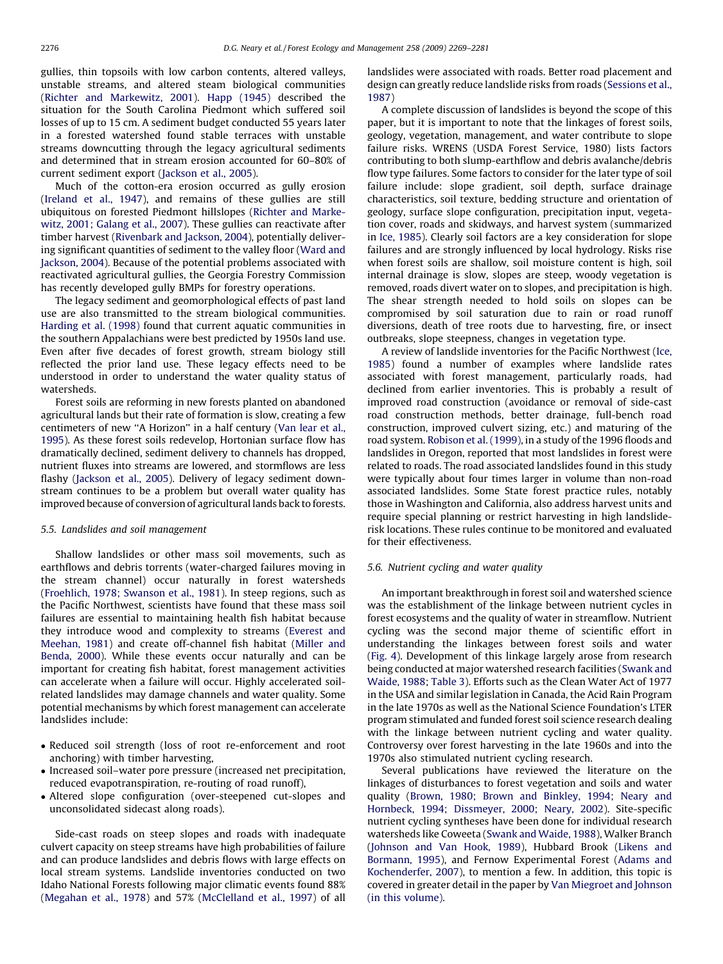gullies, thin topsoils with low carbon contents, altered valleys, unstable streams, and altered steam biological communities ([Richter and Markewitz, 2001](#page-11-0)). [Happ \(1945\)](#page-10-0) described the situation for the South Carolina Piedmont which suffered soil losses of up to 15 cm. A sediment budget conducted 55 years later in a forested watershed found stable terraces with unstable streams downcutting through the legacy agricultural sediments and determined that in stream erosion accounted for 60–80% of current sediment export ([Jackson et al., 2005\)](#page-10-0).

Much of the cotton-era erosion occurred as gully erosion ([Ireland et al., 1947\)](#page-10-0), and remains of these gullies are still ubiquitous on forested Piedmont hillslopes ([Richter and Marke](#page-11-0)[witz, 2001; Galang et al., 2007](#page-11-0)). These gullies can reactivate after timber harvest [\(Rivenbark and Jackson, 2004](#page-11-0)), potentially delivering significant quantities of sediment to the valley floor [\(Ward and](#page-12-0) [Jackson, 2004\)](#page-12-0). Because of the potential problems associated with reactivated agricultural gullies, the Georgia Forestry Commission has recently developed gully BMPs for forestry operations.

The legacy sediment and geomorphological effects of past land use are also transmitted to the stream biological communities. [Harding et al. \(1998\)](#page-10-0) found that current aquatic communities in the southern Appalachians were best predicted by 1950s land use. Even after five decades of forest growth, stream biology still reflected the prior land use. These legacy effects need to be understood in order to understand the water quality status of watersheds.

Forest soils are reforming in new forests planted on abandoned agricultural lands but their rate of formation is slow, creating a few centimeters of new ''A Horizon'' in a half century [\(Van lear et al.,](#page-12-0) [1995\)](#page-12-0). As these forest soils redevelop, Hortonian surface flow has dramatically declined, sediment delivery to channels has dropped, nutrient fluxes into streams are lowered, and stormflows are less flashy ([Jackson et al., 2005\)](#page-10-0). Delivery of legacy sediment downstream continues to be a problem but overall water quality has improved because of conversion of agricultural lands back to forests.

#### 5.5. Landslides and soil management

Shallow landslides or other mass soil movements, such as earthflows and debris torrents (water-charged failures moving in the stream channel) occur naturally in forest watersheds ([Froehlich, 1978; Swanson et al., 1981](#page-10-0)). In steep regions, such as the Pacific Northwest, scientists have found that these mass soil failures are essential to maintaining health fish habitat because they introduce wood and complexity to streams [\(Everest and](#page-10-0) [Meehan, 1981\)](#page-10-0) and create off-channel fish habitat [\(Miller and](#page-11-0) [Benda, 2000\)](#page-11-0). While these events occur naturally and can be important for creating fish habitat, forest management activities can accelerate when a failure will occur. Highly accelerated soilrelated landslides may damage channels and water quality. Some potential mechanisms by which forest management can accelerate landslides include:

- Reduced soil strength (loss of root re-enforcement and root anchoring) with timber harvesting,
- Increased soil–water pore pressure (increased net precipitation, reduced evapotranspiration, re-routing of road runoff),
- Altered slope configuration (over-steepened cut-slopes and unconsolidated sidecast along roads).

Side-cast roads on steep slopes and roads with inadequate culvert capacity on steep streams have high probabilities of failure and can produce landslides and debris flows with large effects on local stream systems. Landslide inventories conducted on two Idaho National Forests following major climatic events found 88% ([Megahan et al., 1978](#page-11-0)) and 57% ([McClelland et al., 1997\)](#page-11-0) of all landslides were associated with roads. Better road placement and design can greatly reduce landslide risks from roads ([Sessions et al.,](#page-11-0) [1987](#page-11-0))

A complete discussion of landslides is beyond the scope of this paper, but it is important to note that the linkages of forest soils, geology, vegetation, management, and water contribute to slope failure risks. WRENS (USDA Forest Service, 1980) lists factors contributing to both slump-earthflow and debris avalanche/debris flow type failures. Some factors to consider for the later type of soil failure include: slope gradient, soil depth, surface drainage characteristics, soil texture, bedding structure and orientation of geology, surface slope configuration, precipitation input, vegetation cover, roads and skidways, and harvest system (summarized in [Ice, 1985](#page-10-0)). Clearly soil factors are a key consideration for slope failures and are strongly influenced by local hydrology. Risks rise when forest soils are shallow, soil moisture content is high, soil internal drainage is slow, slopes are steep, woody vegetation is removed, roads divert water on to slopes, and precipitation is high. The shear strength needed to hold soils on slopes can be compromised by soil saturation due to rain or road runoff diversions, death of tree roots due to harvesting, fire, or insect outbreaks, slope steepness, changes in vegetation type.

A review of landslide inventories for the Pacific Northwest [\(Ice,](#page-10-0) [1985](#page-10-0)) found a number of examples where landslide rates associated with forest management, particularly roads, had declined from earlier inventories. This is probably a result of improved road construction (avoidance or removal of side-cast road construction methods, better drainage, full-bench road construction, improved culvert sizing, etc.) and maturing of the road system. [Robison et al. \(1999\)](#page-11-0), in a study of the 1996 floods and landslides in Oregon, reported that most landslides in forest were related to roads. The road associated landslides found in this study were typically about four times larger in volume than non-road associated landslides. Some State forest practice rules, notably those in Washington and California, also address harvest units and require special planning or restrict harvesting in high landsliderisk locations. These rules continue to be monitored and evaluated for their effectiveness.

## 5.6. Nutrient cycling and water quality

An important breakthrough in forest soil and watershed science was the establishment of the linkage between nutrient cycles in forest ecosystems and the quality of water in streamflow. Nutrient cycling was the second major theme of scientific effort in understanding the linkages between forest soils and water ([Fig. 4\)](#page-4-0). Development of this linkage largely arose from research being conducted at major watershed research facilities ([Swank and](#page-11-0) [Waide, 1988;](#page-11-0) [Table 3](#page-4-0)). Efforts such as the Clean Water Act of 1977 in the USA and similar legislation in Canada, the Acid Rain Program in the late 1970s as well as the National Science Foundation's LTER program stimulated and funded forest soil science research dealing with the linkage between nutrient cycling and water quality. Controversy over forest harvesting in the late 1960s and into the 1970s also stimulated nutrient cycling research.

Several publications have reviewed the literature on the linkages of disturbances to forest vegetation and soils and water quality ([Brown, 1980; Brown and Binkley, 1994; Neary and](#page-10-0) [Hornbeck, 1994; Dissmeyer, 2000; Neary, 2002](#page-10-0)). Site-specific nutrient cycling syntheses have been done for individual research watersheds like Coweeta [\(Swank and Waide, 1988](#page-11-0)), Walker Branch ([Johnson and Van Hook, 1989](#page-10-0)), Hubbard Brook ([Likens and](#page-11-0) [Bormann, 1995](#page-11-0)), and Fernow Experimental Forest [\(Adams and](#page-9-0) [Kochenderfer, 2007](#page-9-0)), to mention a few. In addition, this topic is covered in greater detail in the paper by [Van Miegroet and Johnson](#page-12-0) [\(in this volume\).](#page-12-0)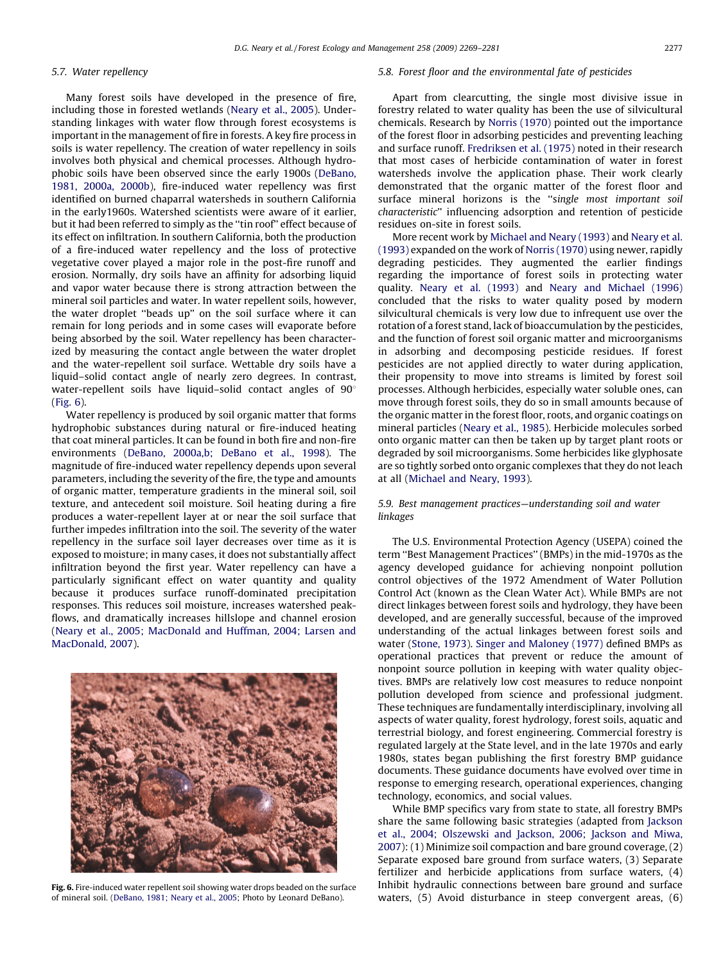## D.G. Neary et al. / Forest Ecology and Management 258 (2009) 2269–2281 2277

## 5.7. Water repellency

Many forest soils have developed in the presence of fire, including those in forested wetlands [\(Neary et al., 2005\)](#page-11-0). Understanding linkages with water flow through forest ecosystems is important in the management of fire in forests. A key fire process in soils is water repellency. The creation of water repellency in soils involves both physical and chemical processes. Although hydrophobic soils have been observed since the early 1900s [\(DeBano,](#page-10-0) [1981, 2000a, 2000b](#page-10-0)), fire-induced water repellency was first identified on burned chaparral watersheds in southern California in the early1960s. Watershed scientists were aware of it earlier, but it had been referred to simply as the ''tin roof'' effect because of its effect on infiltration. In southern California, both the production of a fire-induced water repellency and the loss of protective vegetative cover played a major role in the post-fire runoff and erosion. Normally, dry soils have an affinity for adsorbing liquid and vapor water because there is strong attraction between the mineral soil particles and water. In water repellent soils, however, the water droplet ''beads up'' on the soil surface where it can remain for long periods and in some cases will evaporate before being absorbed by the soil. Water repellency has been characterized by measuring the contact angle between the water droplet and the water-repellent soil surface. Wettable dry soils have a liquid–solid contact angle of nearly zero degrees. In contrast, water-repellent soils have liquid-solid contact angles of  $90^\circ$ (Fig. 6).

Water repellency is produced by soil organic matter that forms hydrophobic substances during natural or fire-induced heating that coat mineral particles. It can be found in both fire and non-fire environments [\(DeBano, 2000a,b; DeBano et al., 1998](#page-10-0)). The magnitude of fire-induced water repellency depends upon several parameters, including the severity of the fire, the type and amounts of organic matter, temperature gradients in the mineral soil, soil texture, and antecedent soil moisture. Soil heating during a fire produces a water-repellent layer at or near the soil surface that further impedes infiltration into the soil. The severity of the water repellency in the surface soil layer decreases over time as it is exposed to moisture; in many cases, it does not substantially affect infiltration beyond the first year. Water repellency can have a particularly significant effect on water quantity and quality because it produces surface runoff-dominated precipitation responses. This reduces soil moisture, increases watershed peakflows, and dramatically increases hillslope and channel erosion ([Neary et al., 2005; MacDonald and Huffman, 2004; Larsen and](#page-11-0) [MacDonald, 2007\)](#page-11-0).



Fig. 6. Fire-induced water repellent soil showing water drops beaded on the surface of mineral soil. ([DeBano, 1981; Neary et al., 2005](#page-10-0); Photo by Leonard DeBano).

## 5.8. Forest floor and the environmental fate of pesticides

Apart from clearcutting, the single most divisive issue in forestry related to water quality has been the use of silvicultural chemicals. Research by [Norris \(1970\)](#page-11-0) pointed out the importance of the forest floor in adsorbing pesticides and preventing leaching and surface runoff. [Fredriksen et al. \(1975\)](#page-10-0) noted in their research that most cases of herbicide contamination of water in forest watersheds involve the application phase. Their work clearly demonstrated that the organic matter of the forest floor and surface mineral horizons is the ''single most important soil characteristic'' influencing adsorption and retention of pesticide residues on-site in forest soils.

More recent work by [Michael and Neary \(1993\)](#page-11-0) and [Neary et al.](#page-11-0) [\(1993\)](#page-11-0) expanded on the work of [Norris \(1970\)](#page-11-0) using newer, rapidly degrading pesticides. They augmented the earlier findings regarding the importance of forest soils in protecting water quality. [Neary et al. \(1993\)](#page-11-0) and [Neary and Michael \(1996\)](#page-11-0) concluded that the risks to water quality posed by modern silvicultural chemicals is very low due to infrequent use over the rotation of a forest stand, lack of bioaccumulation by the pesticides, and the function of forest soil organic matter and microorganisms in adsorbing and decomposing pesticide residues. If forest pesticides are not applied directly to water during application, their propensity to move into streams is limited by forest soil processes. Although herbicides, especially water soluble ones, can move through forest soils, they do so in small amounts because of the organic matter in the forest floor, roots, and organic coatings on mineral particles ([Neary et al., 1985](#page-11-0)). Herbicide molecules sorbed onto organic matter can then be taken up by target plant roots or degraded by soil microorganisms. Some herbicides like glyphosate are so tightly sorbed onto organic complexes that they do not leach at all ([Michael and Neary, 1993\)](#page-11-0).

## 5.9. Best management practices—understanding soil and water linkages

The U.S. Environmental Protection Agency (USEPA) coined the term ''Best Management Practices'' (BMPs) in the mid-1970s as the agency developed guidance for achieving nonpoint pollution control objectives of the 1972 Amendment of Water Pollution Control Act (known as the Clean Water Act). While BMPs are not direct linkages between forest soils and hydrology, they have been developed, and are generally successful, because of the improved understanding of the actual linkages between forest soils and water [\(Stone, 1973\)](#page-11-0). [Singer and Maloney \(1977\)](#page-11-0) defined BMPs as operational practices that prevent or reduce the amount of nonpoint source pollution in keeping with water quality objectives. BMPs are relatively low cost measures to reduce nonpoint pollution developed from science and professional judgment. These techniques are fundamentally interdisciplinary, involving all aspects of water quality, forest hydrology, forest soils, aquatic and terrestrial biology, and forest engineering. Commercial forestry is regulated largely at the State level, and in the late 1970s and early 1980s, states began publishing the first forestry BMP guidance documents. These guidance documents have evolved over time in response to emerging research, operational experiences, changing technology, economics, and social values.

While BMP specifics vary from state to state, all forestry BMPs share the same following basic strategies (adapted from [Jackson](#page-10-0) [et al., 2004; Olszewski and Jackson, 2006; Jackson and Miwa,](#page-10-0) [2007\)](#page-10-0): (1) Minimize soil compaction and bare ground coverage, (2) Separate exposed bare ground from surface waters, (3) Separate fertilizer and herbicide applications from surface waters, (4) Inhibit hydraulic connections between bare ground and surface waters, (5) Avoid disturbance in steep convergent areas, (6)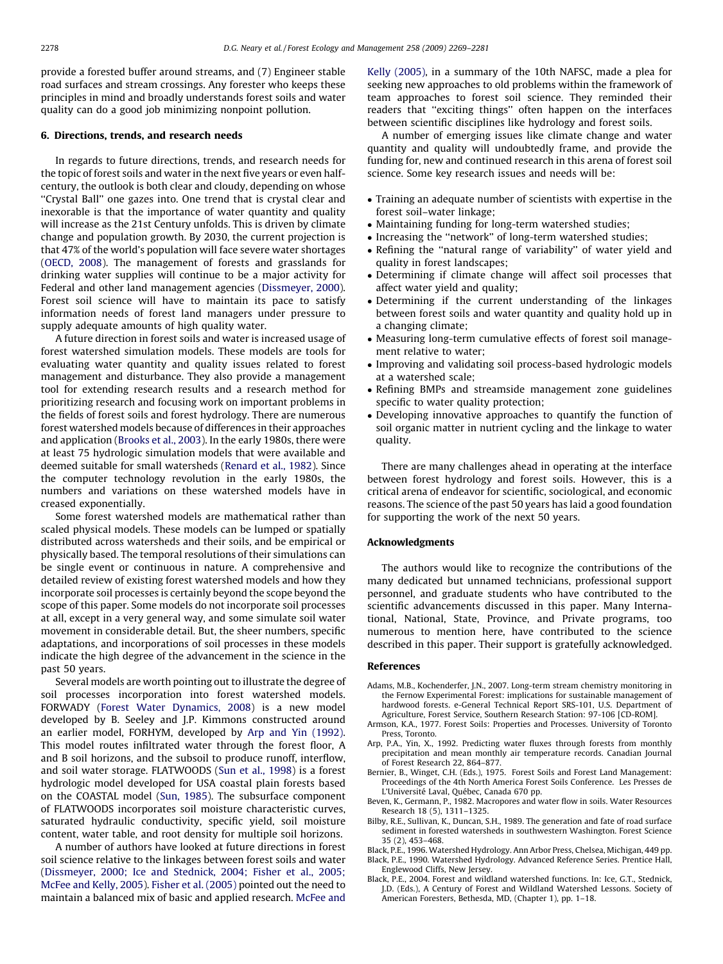<span id="page-9-0"></span>provide a forested buffer around streams, and (7) Engineer stable road surfaces and stream crossings. Any forester who keeps these principles in mind and broadly understands forest soils and water quality can do a good job minimizing nonpoint pollution.

## 6. Directions, trends, and research needs

In regards to future directions, trends, and research needs for the topic of forest soils and water in the next five years or even halfcentury, the outlook is both clear and cloudy, depending on whose ''Crystal Ball'' one gazes into. One trend that is crystal clear and inexorable is that the importance of water quantity and quality will increase as the 21st Century unfolds. This is driven by climate change and population growth. By 2030, the current projection is that 47% of the world's population will face severe water shortages ([OECD, 2008](#page-11-0)). The management of forests and grasslands for drinking water supplies will continue to be a major activity for Federal and other land management agencies ([Dissmeyer, 2000\)](#page-10-0). Forest soil science will have to maintain its pace to satisfy information needs of forest land managers under pressure to supply adequate amounts of high quality water.

A future direction in forest soils and water is increased usage of forest watershed simulation models. These models are tools for evaluating water quantity and quality issues related to forest management and disturbance. They also provide a management tool for extending research results and a research method for prioritizing research and focusing work on important problems in the fields of forest soils and forest hydrology. There are numerous forest watershed models because of differences in their approaches and application [\(Brooks et al., 2003\)](#page-10-0). In the early 1980s, there were at least 75 hydrologic simulation models that were available and deemed suitable for small watersheds [\(Renard et al., 1982](#page-11-0)). Since the computer technology revolution in the early 1980s, the numbers and variations on these watershed models have in creased exponentially.

Some forest watershed models are mathematical rather than scaled physical models. These models can be lumped or spatially distributed across watersheds and their soils, and be empirical or physically based. The temporal resolutions of their simulations can be single event or continuous in nature. A comprehensive and detailed review of existing forest watershed models and how they incorporate soil processes is certainly beyond the scope beyond the scope of this paper. Some models do not incorporate soil processes at all, except in a very general way, and some simulate soil water movement in considerable detail. But, the sheer numbers, specific adaptations, and incorporations of soil processes in these models indicate the high degree of the advancement in the science in the past 50 years.

Several models are worth pointing out to illustrate the degree of soil processes incorporation into forest watershed models. FORWADY [\(Forest Water Dynamics, 2008\)](#page-10-0) is a new model developed by B. Seeley and J.P. Kimmons constructed around an earlier model, FORHYM, developed by Arp and Yin (1992). This model routes infiltrated water through the forest floor, A and B soil horizons, and the subsoil to produce runoff, interflow, and soil water storage. FLATWOODS [\(Sun et al., 1998\)](#page-11-0) is a forest hydrologic model developed for USA coastal plain forests based on the COASTAL model ([Sun, 1985\)](#page-11-0). The subsurface component of FLATWOODS incorporates soil moisture characteristic curves, saturated hydraulic conductivity, specific yield, soil moisture content, water table, and root density for multiple soil horizons.

A number of authors have looked at future directions in forest soil science relative to the linkages between forest soils and water ([Dissmeyer, 2000; Ice and Stednick, 2004; Fisher et al., 2005;](#page-10-0) [McFee and Kelly, 2005](#page-10-0)). [Fisher et al. \(2005\)](#page-10-0) pointed out the need to maintain a balanced mix of basic and applied research. [McFee and](#page-11-0) [Kelly \(2005\)](#page-11-0), in a summary of the 10th NAFSC, made a plea for seeking new approaches to old problems within the framework of team approaches to forest soil science. They reminded their readers that ''exciting things'' often happen on the interfaces between scientific disciplines like hydrology and forest soils.

A number of emerging issues like climate change and water quantity and quality will undoubtedly frame, and provide the funding for, new and continued research in this arena of forest soil science. Some key research issues and needs will be:

- Training an adequate number of scientists with expertise in the forest soil–water linkage;
- Maintaining funding for long-term watershed studies;
- Increasing the ''network'' of long-term watershed studies;
- Refining the ''natural range of variability'' of water yield and quality in forest landscapes;
- Determining if climate change will affect soil processes that affect water yield and quality;
- Determining if the current understanding of the linkages between forest soils and water quantity and quality hold up in a changing climate;
- Measuring long-term cumulative effects of forest soil management relative to water;
- Improving and validating soil process-based hydrologic models at a watershed scale;
- Refining BMPs and streamside management zone guidelines specific to water quality protection;
- Developing innovative approaches to quantify the function of soil organic matter in nutrient cycling and the linkage to water quality.

There are many challenges ahead in operating at the interface between forest hydrology and forest soils. However, this is a critical arena of endeavor for scientific, sociological, and economic reasons. The science of the past 50 years has laid a good foundation for supporting the work of the next 50 years.

## Acknowledgments

The authors would like to recognize the contributions of the many dedicated but unnamed technicians, professional support personnel, and graduate students who have contributed to the scientific advancements discussed in this paper. Many International, National, State, Province, and Private programs, too numerous to mention here, have contributed to the science described in this paper. Their support is gratefully acknowledged.

#### References

- Adams, M.B., Kochenderfer, J.N., 2007. Long-term stream chemistry monitoring in the Fernow Experimental Forest: implications for sustainable management of hardwood forests. e-General Technical Report SRS-101, U.S. Department of Agriculture, Forest Service, Southern Research Station: 97-106 [CD-ROM].
- Armson, K.A., 1977. Forest Soils: Properties and Processes. University of Toronto Press, Toronto.
- Arp, P.A., Yin, X., 1992. Predicting water fluxes through forests from monthly precipitation and mean monthly air temperature records. Canadian Journal of Forest Research 22, 864–877.
- Bernier, B., Winget, C.H. (Eds.), 1975. Forest Soils and Forest Land Management: Proceedings of the 4th North America Forest Soils Conference. Les Presses de L'Université Laval, Québec, Canada 670 pp.
- Beven, K., Germann, P., 1982. Macropores and water flow in soils. Water Resources Research 18 (5), 1311–1325.
- Bilby, R.E., Sullivan, K., Duncan, S.H., 1989. The generation and fate of road surface sediment in forested watersheds in southwestern Washington. Forest Science 35 (2), 453–468.
- Black, P.E., 1996. Watershed Hydrology. Ann Arbor Press, Chelsea, Michigan, 449 pp. Black, P.E., 1990. Watershed Hydrology. Advanced Reference Series. Prentice Hall, Englewood Cliffs, New Jersey.
- Black, P.E., 2004. Forest and wildland watershed functions. In: Ice, G.T., Stednick, J.D. (Eds.), A Century of Forest and Wildland Watershed Lessons. Society of American Foresters, Bethesda, MD, (Chapter 1), pp. 1–18.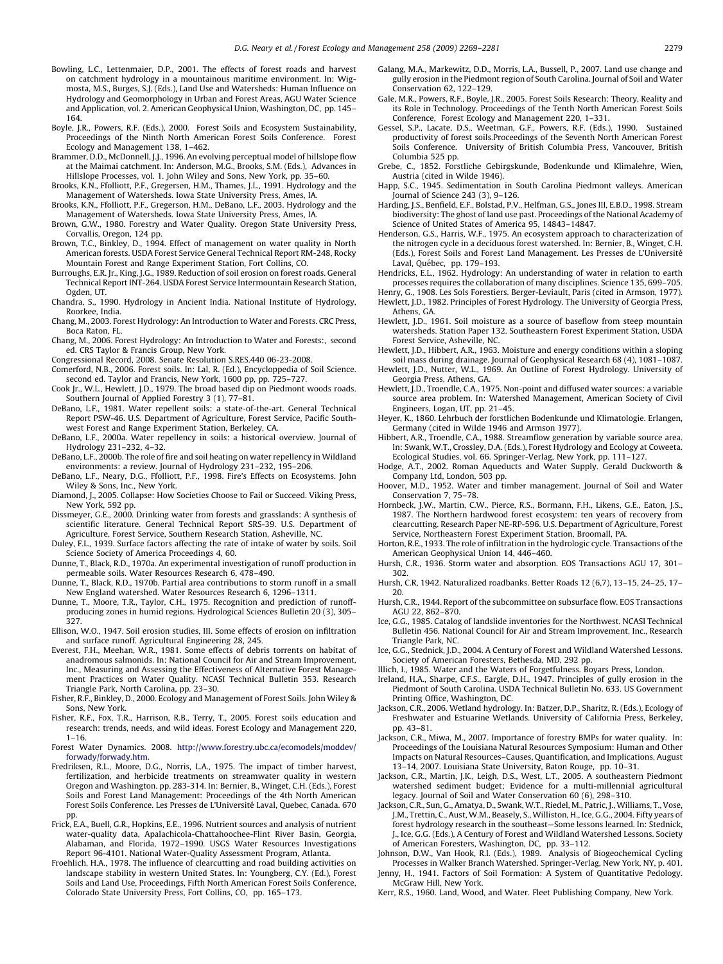- <span id="page-10-0"></span>Bowling, L.C., Lettenmaier, D.P., 2001. The effects of forest roads and harvest on catchment hydrology in a mountainous maritime environment. In: Wigmosta, M.S., Burges, S.J. (Eds.), Land Use and Watersheds: Human Influence on Hydrology and Geomorphology in Urban and Forest Areas, AGU Water Science and Application, vol. 2. American Geophysical Union, Washington, DC, pp. 145– 164.
- Boyle, J.R., Powers, R.F. (Eds.), 2000. Forest Soils and Ecosystem Sustainability, Proceedings of the Ninth North American Forest Soils Conference. Forest Ecology and Management 138, 1–462.
- Brammer, D.D., McDonnell, J.J., 1996. An evolving perceptual model of hillslope flow at the Maimai catchment. In: Anderson, M.G., Brooks, S.M. (Eds.), Advances in Hillslope Processes, vol. 1. John Wiley and Sons, New York, pp. 35–60.
- Brooks, K.N., Ffolliott, P.F., Gregersen, H.M., Thames, J.L., 1991. Hydrology and the Management of Watersheds. Iowa State University Press, Ames, IA.
- Brooks, K.N., Ffolliott, P.F., Gregerson, H.M., DeBano, L.F., 2003. Hydrology and the Management of Watersheds. Iowa State University Press, Ames, IA.
- Brown, G.W., 1980. Forestry and Water Quality. Oregon State University Press, Corvallis, Oregon, 124 pp.
- Brown, T.C., Binkley, D., 1994. Effect of management on water quality in North American forests. USDA Forest Service General Technical Report RM-248, Rocky Mountain Forest and Range Experiment Station, Fort Collins, CO.
- Burroughs, E.R. Jr., King, J.G., 1989. Reduction of soil erosion on forest roads. General Technical Report INT-264. USDA Forest Service Intermountain Research Station, Ogden, UT.
- Chandra, S., 1990. Hydrology in Ancient India. National Institute of Hydrology, Roorkee, India.
- Chang, M., 2003. Forest Hydrology: An Introduction to Water and Forests. CRC Press, Boca Raton, FL.
- Chang, M., 2006. Forest Hydrology: An Introduction to Water and Forests:, second ed. CRS Taylor & Francis Group, New York.
- Congressional Record, 2008. Senate Resolution S.RES.440 06-23-2008.
- Comerford, N.B., 2006. Forest soils. In: Lal, R. (Ed.), Encycloppedia of Soil Science.
- second ed. Taylor and Francis, New York, 1600 pp, pp. 725–727. Cook Jr., W.L., Hewlett, J.D., 1979. The broad based dip on Piedmont woods roads. Southern Journal of Applied Forestry 3 (1), 77–81.
- DeBano, L.F., 1981. Water repellent soils: a state-of-the-art. General Technical Report PSW-46. U.S. Department of Agriculture, Forest Service, Pacific Southwest Forest and Range Experiment Station, Berkeley, CA.
- DeBano, L.F., 2000a. Water repellency in soils: a historical overview. Journal of Hydrology 231–232, 4–32.
- DeBano, L.F., 2000b. The role of fire and soil heating on water repellency in Wildland environments: a review. Journal of Hydrology 231–232, 195–206.
- DeBano, L.F., Neary, D.G., Ffolliott, P.F., 1998. Fire's Effects on Ecosystems. John Wiley & Sons, Inc., New York.
- Diamond, J., 2005. Collapse: How Societies Choose to Fail or Succeed. Viking Press, New York, 592 pp.
- Dissmeyer, G.E., 2000. Drinking water from forests and grasslands: A synthesis of scientific literature. General Technical Report SRS-39. U.S. Department of Agriculture, Forest Service, Southern Research Station, Asheville, NC.
- Duley, F.L., 1939. Surface factors affecting the rate of intake of water by soils. Soil Science Society of America Proceedings 4, 60.
- Dunne, T., Black, R.D., 1970a. An experimental investigation of runoff production in permeable soils. Water Resources Research 6, 478–490.
- Dunne, T., Black, R.D., 1970b. Partial area contributions to storm runoff in a small New England watershed. Water Resources Research 6, 1296–1311.
- Dunne, T., Moore, T.R., Taylor, C.H., 1975. Recognition and prediction of runoffproducing zones in humid regions. Hydrological Sciences Bulletin 20 (3), 305– 327.
- Ellison, W.O., 1947. Soil erosion studies, III. Some effects of erosion on infiltration and surface runoff. Agricultural Engineering 28, 245.
- Everest, F.H., Meehan, W.R., 1981. Some effects of debris torrents on habitat of anadromous salmonids. In: National Council for Air and Stream Improvement, Inc., Measuring and Assessing the Effectiveness of Alternative Forest Management Practices on Water Quality. NCASI Technical Bulletin 353. Research Triangle Park, North Carolina, pp. 23–30.
- Fisher, R.F., Binkley, D., 2000. Ecology and Management of Forest Soils. John Wiley & Sons, New York.
- Fisher, R.F., Fox, T.R., Harrison, R.B., Terry, T., 2005. Forest soils education and research: trends, needs, and wild ideas. Forest Ecology and Management 220, 1–16.
- Forest Water Dynamics. 2008. [http://www.forestry.ubc.ca/ecomodels/moddev/](http://www.forestry.ubc.ca/ecomodels/moddev/forwady/forwady.htm) [forwady/forwady.htm.](http://www.forestry.ubc.ca/ecomodels/moddev/forwady/forwady.htm)
- Fredriksen, R.L., Moore, D.G., Norris, L.A., 1975. The impact of timber harvest, fertilization, and herbicide treatments on streamwater quality in western Oregon and Washington. pp. 283-314. In: Bernier, B., Winget, C.H. (Eds.), Forest Soils and Forest Land Management: Proceedings of the 4th North American Forest Soils Conference. Les Presses de L'Université Laval, Quebec, Canada. 670 pp.
- Frick, E.A., Buell, G.R., Hopkins, E.E., 1996. Nutrient sources and analysis of nutrient water-quality data, Apalachicola-Chattahoochee-Flint River Basin, Georgia, Alabaman, and Florida, 1972–1990. USGS Water Resources Investigations Report 96-4101. National Water-Quality Assessment Program, Atlanta.
- Froehlich, H.A., 1978. The influence of clearcutting and road building activities on landscape stability in western United States. In: Youngberg, C.Y. (Ed.), Forest Soils and Land Use, Proceedings, Fifth North American Forest Soils Conference, Colorado State University Press, Fort Collins, CO, pp. 165–173.
- Galang, M.A., Markewitz, D.D., Morris, L.A., Bussell, P., 2007. Land use change and gully erosion in the Piedmont region of South Carolina. Journal of Soil and Water Conservation 62, 122–129.
- Gale, M.R., Powers, R.F., Boyle, J.R., 2005. Forest Soils Research: Theory, Reality and its Role in Technology. Proceedings of the Tenth North American Forest Soils Conference, Forest Ecology and Management 220, 1–331.
- Gessel, S.P., Lacate, D.S., Weetman, G.F., Powers, R.F. (Eds.), 1990. Sustained productivity of forest soils.Proceedings of the Seventh North American Forest Soils Conference. University of British Columbia Press, Vancouver, British Columbia 525 pp.
- Grebe, C., 1852. Forstliche Gebirgskunde, Bodenkunde und Klimalehre, Wien, Austria (cited in Wilde 1946).
- Happ, S.C., 1945. Sedimentation in South Carolina Piedmont valleys. American Journal of Science 243 (3), 9–126.
- Harding, J.S., Benfield, E.F., Bolstad, P.V., Helfman, G.S., Jones III, E.B.D., 1998. Stream biodiversity: The ghost of land use past. Proceedings of the National Academy of Science of United States of America 95, 14843–14847.
- Henderson, G.S., Harris, W.F., 1975. An ecosystem approach to characterization of the nitrogen cycle in a deciduous forest watershed. In: Bernier, B., Winget, C.H. (Eds.), Forest Soils and Forest Land Management. Les Presses de L'Universite´ Laval, Québec, pp. 179-193.
- Hendricks, E.L., 1962. Hydrology: An understanding of water in relation to earth processes requires the collaboration of many disciplines. Science 135, 699–705.
- Henry, G., 1908. Les Sols Forestiers. Berger-Leviault, Paris (cited in Armson, 1977). Hewlett, J.D., 1982. Principles of Forest Hydrology. The University of Georgia Press, Athens, GA.
- Hewlett, J.D., 1961. Soil moisture as a source of baseflow from steep mountain watersheds. Station Paper 132. Southeastern Forest Experiment Station, USDA Forest Service, Asheville, NC.
- Hewlett, J.D., Hibbert, A.R., 1963. Moisture and energy conditions within a sloping soil mass during drainage. Journal of Geophysical Research 68 (4), 1081–1087.
- Hewlett, J.D., Nutter, W.L., 1969. An Outline of Forest Hydrology. University of Georgia Press, Athens, GA.
- Hewlett, J.D., Troendle, C.A., 1975. Non-point and diffused water sources: a variable source area problem. In: Watershed Management, American Society of Civil Engineers, Logan, UT, pp. 21–45.
- Heyer, K., 1860. Lehrbuch der forstlichen Bodenkunde und Klimatologie. Erlangen, Germany (cited in Wilde 1946 and Armson 1977).
- Hibbert, A.R., Troendle, C.A., 1988. Streamflow generation by variable source area. In: Swank, W.T., Crossley, D.A. (Eds.), Forest Hydrology and Ecology at Coweeta. Ecological Studies, vol. 66. Springer-Verlag, New York, pp. 111–127.
- Hodge, A.T., 2002. Roman Aqueducts and Water Supply. Gerald Duckworth & Company Ltd, London, 503 pp.
- Hoover, M.D., 1952. Water and timber management. Journal of Soil and Water Conservation 7, 75–78.
- Hornbeck, J.W., Martin, C.W., Pierce, R.S., Bormann, F.H., Likens, G.E., Eaton, J.S., 1987. The Northern hardwood forest ecosystem: ten years of recovery from clearcutting. Research Paper NE-RP-596. U.S. Department of Agriculture, Forest Service, Northeastern Forest Experiment Station, Broomall, PA.
- Horton, R.E., 1933. The role of infiltration in the hydrologic cycle. Transactions of the American Geophysical Union 14, 446–460.
- Hursh, C.R., 1936. Storm water and absorption. EOS Transactions AGU 17, 301– 302.
- Hursh, C.R, 1942. Naturalized roadbanks. Better Roads 12 (6,7), 13–15, 24–25, 17– 20.
- Hursh, C.R., 1944. Report of the subcommittee on subsurface flow. EOS Transactions AGU 22, 862–870.
- Ice, G.G., 1985. Catalog of landslide inventories for the Northwest. NCASI Technical Bulletin 456. National Council for Air and Stream Improvement, Inc., Research Triangle Park, NC.
- Ice, G.G., Stednick, J.D., 2004. A Century of Forest and Wildland Watershed Lessons. Society of American Foresters, Bethesda, MD, 292 pp.
- Illich, I., 1985. Water and the Waters of Forgetfulness. Boyars Press, London.
- Ireland, H.A., Sharpe, C.F.S., Eargle, D.H., 1947. Principles of gully erosion in the Piedmont of South Carolina. USDA Technical Bulletin No. 633. US Government Printing Office, Washington, DC.
- Jackson, C.R., 2006. Wetland hydrology. In: Batzer, D.P., Sharitz, R. (Eds.), Ecology of Freshwater and Estuarine Wetlands. University of California Press, Berkeley, pp. 43–81.
- Jackson, C.R., Miwa, M., 2007. Importance of forestry BMPs for water quality. In: Proceedings of the Louisiana Natural Resources Symposium: Human and Other Impacts on Natural Resources–Causes, Quantification, and Implications, August 13–14, 2007. Louisiana State University, Baton Rouge, pp. 10–31.
- Jackson, C.R., Martin, J.K., Leigh, D.S., West, L.T., 2005. A southeastern Piedmont watershed sediment budget; Evidence for a multi-millennial agricultural legacy. Journal of Soil and Water Conservation 60 (6), 298–310.
- Jackson, C.R., Sun, G., Amatya, D., Swank, W.T., Riedel, M., Patric, J., Williams, T., Vose, J.M., Trettin, C., Aust, W.M., Beasely, S., Williston, H., Ice, G.G., 2004. Fifty years of forest hydrology research in the southeast—Some lessons learned. In: Stednick, J., Ice, G.G. (Eds.), A Century of Forest and Wildland Watershed Lessons. Society of American Foresters, Washington, DC, pp. 33–112.
- Johnson, D.W., Van Hook, R.I. (Eds.), 1989. Analysis of Biogeochemical Cycling Processes in Walker Branch Watershed. Springer-Verlag, New York, NY, p. 401.
- Jenny, H., 1941. Factors of Soil Formation: A System of Quantitative Pedology. McGraw Hill, New York.
- Kerr, R.S., 1960. Land, Wood, and Water. Fleet Publishing Company, New York.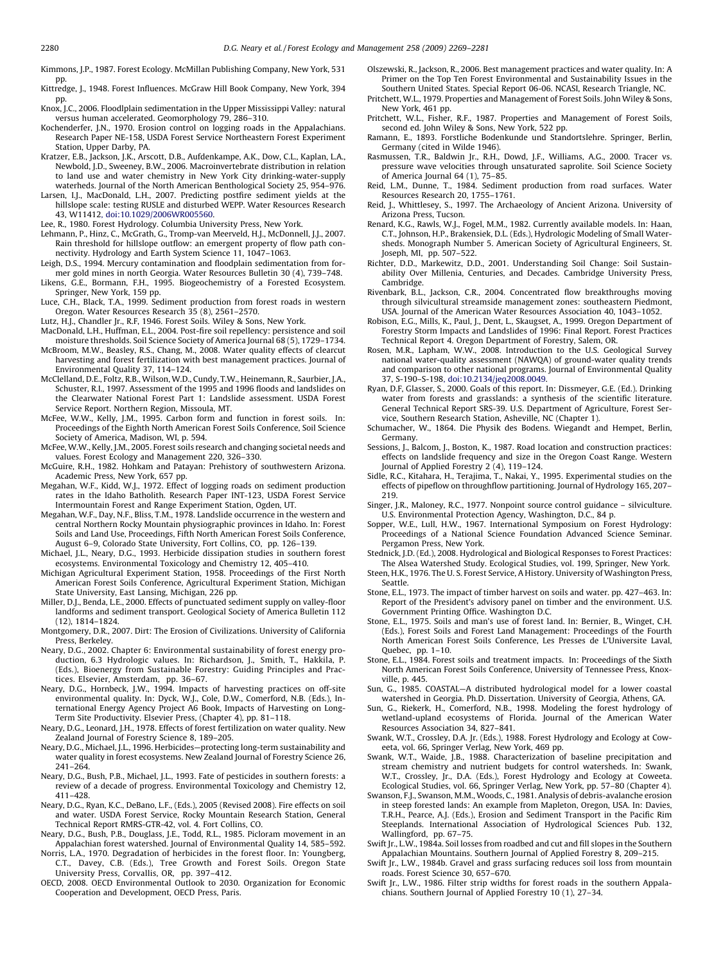<span id="page-11-0"></span>Kimmons, J.P., 1987. Forest Ecology. McMillan Publishing Company, New York, 531 pp.

Kittredge, J., 1948. Forest Influences. McGraw Hill Book Company, New York, 394 pp.

- Knox, J.C., 2006. Floodlplain sedimentation in the Upper Mississippi Valley: natural versus human accelerated. Geomorphology 79, 286–310.
- Kochenderfer, J.N., 1970. Erosion control on logging roads in the Appalachians. Research Paper NE-158, USDA Forest Service Northeastern Forest Experiment Station, Upper Darby, PA.
- Kratzer, E.B., Jackson, J.K., Arscott, D.B., Aufdenkampe, A.K., Dow, C.L., Kaplan, L.A., Newbold, J.D., Sweeney, B.W., 2006. Macroinvertebrate distribution in relation to land use and water chemistry in New York City drinking-water-supply waterheds. Journal of the North American Benthological Society 25, 954–976.
- Larsen, I.J., MacDonald, L.H., 2007. Predicting postfire sediment yields at the hillslope scale: testing RUSLE and disturbed WEPP. Water Resources Research 43, W1141[2, doi:10.1029/2006WR005560](http://dx.doi.org/10.1029/2006WR005560).
- Lee, R., 1980. Forest Hydrology. Columbia University Press, New York.
- Lehmann, P., Hinz, C., McGrath, G., Tromp-van Meerveld, H.J., McDonnell, J.J., 2007. Rain threshold for hillslope outflow: an emergent property of flow path connectivity. Hydrology and Earth System Science 11, 1047–1063.
- Leigh, D.S., 1994. Mercury contamination and floodplain sedimentation from former gold mines in north Georgia. Water Resources Bulletin 30 (4), 739–748.
- Likens, G.E., Bormann, F.H., 1995. Biogeochemistry of a Forested Ecosystem. Springer, New York, 159 pp.
- Luce, C.H., Black, T.A., 1999. Sediment production from forest roads in western Oregon. Water Resources Research 35 (8), 2561–2570.
- Lutz, H.J., Chandler Jr., R.F, 1946. Forest Soils. Wiley & Sons, New York.
- MacDonald, L.H., Huffman, E.L., 2004. Post-fire soil repellency: persistence and soil moisture thresholds. Soil Science Society of America Journal 68 (5), 1729–1734.
- McBroom, M.W., Beasley, R.S., Chang, M., 2008. Water quality effects of clearcut harvesting and forest fertilization with best management practices. Journal of Environmental Quality 37, 114–124.
- McClelland, D.E., Foltz, R.B., Wilson, W.D., Cundy, T.W., Heinemann, R., Saurbier, J.A., Schuster, R.I., 1997. Assessment of the 1995 and 1996 floods and landslides on the Clearwater National Forest Part 1: Landslide assessment. USDA Forest Service Report. Northern Region, Missoula, MT.
- McFee, W.W., Kelly, J.M., 1995. Carbon form and function in forest soils. In: Proceedings of the Eighth North American Forest Soils Conference, Soil Science Society of America, Madison, WI, p. 594.
- McFee, W.W., Kelly, J.M., 2005. Forest soils research and changing societal needs and values. Forest Ecology and Management 220, 326–330.
- McGuire, R.H., 1982. Hohkam and Patayan: Prehistory of southwestern Arizona. Academic Press, New York, 657 pp.
- Megahan, W.F., Kidd, W.J., 1972. Effect of logging roads on sediment production rates in the Idaho Batholith. Research Paper INT-123, USDA Forest Service Intermountain Forest and Range Experiment Station, Ogden, UT.
- Megahan, W.F., Day, N.F., Bliss, T.M., 1978. Landslide occurrence in the western and central Northern Rocky Mountain physiographic provinces in Idaho. In: Forest Soils and Land Use, Proceedings, Fifth North American Forest Soils Conference, August 6–9, Colorado State University, Fort Collins, CO, pp. 126–139.
- Michael, J.L., Neary, D.G., 1993. Herbicide dissipation studies in southern forest ecosystems. Environmental Toxicology and Chemistry 12, 405–410.
- Michigan Agricultural Experiment Station, 1958. Proceedings of the First North American Forest Soils Conference, Agricultural Experiment Station, Michigan State University, East Lansing, Michigan, 226 pp.
- Miller, D.J., Benda, L.E., 2000. Effects of punctuated sediment supply on valley-floor landforms and sediment transport. Geological Society of America Bulletin 112 (12), 1814–1824.
- Montgomery, D.R., 2007. Dirt: The Erosion of Civilizations. University of California Press, Berkeley.
- Neary, D.G., 2002. Chapter 6: Environmental sustainability of forest energy production, 6.3 Hydrologic values. In: Richardson, J., Smith, T., Hakkila, P. (Eds.), Bioenergy from Sustainable Forestry: Guiding Principles and Prac-
- tices. Elsevier, Amsterdam, pp. 36–67. Neary, D.G., Hornbeck, J.W., 1994. Impacts of harvesting practices on off-site environmental quality. In: Dyck, W.J., Cole, D.W., Comerford, N.B. (Eds.), International Energy Agency Project A6 Book, Impacts of Harvesting on Long-Term Site Productivity. Elsevier Press, (Chapter 4), pp. 81–118.
- Neary, D.G., Leonard, J.H., 1978. Effects of forest fertilization on water quality. New Zealand Journal of Forestry Science 8, 189–205.
- Neary, D.G., Michael, J.L., 1996. Herbicides—protecting long-term sustainability and water quality in forest ecosystems. New Zealand Journal of Forestry Science 26, 241–264.
- Neary, D.G., Bush, P.B., Michael, J.L., 1993. Fate of pesticides in southern forests: a review of a decade of progress. Environmental Toxicology and Chemistry 12, 411–428.
- Neary, D.G., Ryan, K.C., DeBano, L.F., (Eds.), 2005 (Revised 2008). Fire effects on soil and water. USDA Forest Service, Rocky Mountain Research Station, General Technical Report RMRS-GTR-42, vol. 4. Fort Collins, CO.
- Neary, D.G., Bush, P.B., Douglass, J.E., Todd, R.L., 1985. Picloram movement in an Appalachian forest watershed. Journal of Environmental Quality 14, 585–592.
- Norris, L.A., 1970. Degradation of herbicides in the forest floor. In: Youngberg, C.T., Davey, C.B. (Eds.), Tree Growth and Forest Soils. Oregon State
- University Press, Corvallis, OR, pp. 397–412. OECD, 2008. OECD Environmental Outlook to 2030. Organization for Economic Cooperation and Development, OECD Press, Paris.
- Olszewski, R., Jackson, R., 2006. Best management practices and water quality. In: A Primer on the Top Ten Forest Environmental and Sustainability Issues in the Southern United States. Special Report 06-06. NCASI, Research Triangle, NC.
- Pritchett, W.L., 1979. Properties and Management of Forest Soils. John Wiley & Sons, New York, 461 pp.
- Pritchett, W.L., Fisher, R.F., 1987. Properties and Management of Forest Soils, second ed. John Wiley & Sons, New York, 522 pp.
- Ramann, E., 1893. Forstliche Bodenkunde und Standortslehre. Springer, Berlin, Germany (cited in Wilde 1946).
- Rasmussen, T.R., Baldwin Jr., R.H., Dowd, J.F., Williams, A.G., 2000. Tracer vs. pressure wave velocities through unsaturated saprolite. Soil Science Society of America Journal 64 (1), 75–85.
- Reid, L.M., Dunne, T., 1984. Sediment production from road surfaces. Water Resources Research 20, 1755–1761.
- Reid, J., Whittlesey, S., 1997. The Archaeology of Ancient Arizona. University of Arizona Press, Tucson.
- Renard, K.G., Rawls, W.J., Fogel, M.M., 1982. Currently available models. In: Haan, C.T., Johnson, H.P., Brakensiek, D.L. (Eds.), Hydrologic Modeling of Small Watersheds. Monograph Number 5. American Society of Agricultural Engineers, St. Joseph, MI, pp. 507–522.
- Richter, D.D., Markewitz, D.D., 2001. Understanding Soil Change: Soil Sustainability Over Millenia, Centuries, and Decades. Cambridge University Press, Cambridge.
- Rivenbark, B.L., Jackson, C.R., 2004. Concentrated flow breakthroughs moving through silvicultural streamside management zones: southeastern Piedmont, USA. Journal of the American Water Resources Association 40, 1043–1052.
- Robison, E.G., Mills, K., Paul, J., Dent, L., Skaugset, A., 1999. Oregon Department of Forestry Storm Impacts and Landslides of 1996: Final Report. Forest Practices Technical Report 4. Oregon Department of Forestry, Salem, OR.
- Rosen, M.R., Lapham, W.W., 2008. Introduction to the U.S. Geological Survey national water-quality assessment (NAWQA) of ground-water quality trends and comparison to other national programs. Journal of Environmental Quality 37, S-190–S-19[8, doi:10.2134/jeq2008.0049.](http://dx.doi.org/10.2134/jeq2008.0049)
- Ryan, D.F, Glasser, S., 2000. Goals of this report. In: Dissmeyer, G.E. (Ed.). Drinking water from forests and grasslands: a synthesis of the scientific literature. General Technical Report SRS-39. U.S. Department of Agriculture, Forest Service, Southern Research Station, Asheville, NC (Chapter 1).
- Schumacher, W., 1864. Die Physik des Bodens. Wiegandt and Hempet, Berlin, Germany.
- Sessions, J., Balcom, J., Boston, K., 1987. Road location and construction practices: effects on landslide frequency and size in the Oregon Coast Range. Western
- Journal of Applied Forestry 2 (4), 119–124. Sidle, R.C., Kitahara, H., Terajima, T., Nakai, Y., 1995. Experimental studies on the effects of pipeflow on throughflow partitioning. Journal of Hydrology 165, 207– 219.
- Singer, J.R., Maloney, R.C., 1977. Nonpoint source control guidance silviculture. U.S. Environmental Protection Agency, Washington, D.C., 84 p.
- Sopper, W.E., Lull, H.W., 1967. International Symposium on Forest Hydrology: Proceedings of a National Science Foundation Advanced Science Seminar. Pergamon Press, New York.
- Stednick, J.D. (Ed.), 2008. Hydrological and Biological Responses to Forest Practices: The Alsea Watershed Study. Ecological Studies, vol. 199, Springer, New York.
- Steen, H.K., 1976. The U. S. Forest Service, A History. University of Washington Press, Seattle.
- Stone, E.L., 1973. The impact of timber harvest on soils and water. pp. 427–463. In: Report of the President's advisory panel on timber and the environment. U.S. Government Printing Office. Washington D.C.
- Stone, E.L., 1975. Soils and man's use of forest land. In: Bernier, B., Winget, C.H. (Eds.), Forest Soils and Forest Land Management: Proceedings of the Fourth North American Forest Soils Conference, Les Presses de L'Universite Laval, Quebec, pp. 1–10.
- Stone, E.L., 1984. Forest soils and treatment impacts. In: Proceedings of the Sixth North American Forest Soils Conference, University of Tennessee Press, Knoxville, p. 445.
- Sun, G., 1985. COASTAL—A distributed hydrological model for a lower coastal watershed in Georgia. Ph.D. Dissertation. University of Georgia, Athens, GA.
- Sun, G., Riekerk, H., Comerford, N.B., 1998. Modeling the forest hydrology of wetland-upland ecosystems of Florida. Journal of the American Water Resources Association 34, 827–841.
- Swank, W.T., Crossley, D.A. Jr. (Eds.), 1988. Forest Hydrology and Ecology at Coweeta, vol. 66, Springer Verlag, New York, 469 pp.
- Swank, W.T., Waide, J.B., 1988. Characterization of baseline precipitation and stream chemistry and nutrient budgets for control watersheds. In: Swank, W.T., Crossley, Jr., D.A. (Eds.), Forest Hydrology and Ecology at Coweeta. Ecological Studies, vol. 66, Springer Verlag, New York, pp. 57–80 (Chapter 4).
- Swanson, F.J., Swanson, M.M., Woods, C., 1981. Analysis of debris-avalanche erosion in steep forested lands: An example from Mapleton, Oregon, USA. In: Davies, T.R.H., Pearce, A.J. (Eds.), Erosion and Sediment Transport in the Pacific Rim Steeplands. International Association of Hydrological Sciences Pub. 132, Wallingford, pp. 67–75.
- Swift Jr., L.W., 1984a. Soil losses from roadbed and cut and fill slopes in the Southern Appalachian Mountains. Southern Journal of Applied Forestry 8, 209–215.
- Swift Jr., L.W., 1984b. Gravel and grass surfacing reduces soil loss from mountain roads. Forest Science 30, 657–670.
- Swift Jr., L.W., 1986. Filter strip widths for forest roads in the southern Appalachians. Southern Journal of Applied Forestry 10 (1), 27–34.